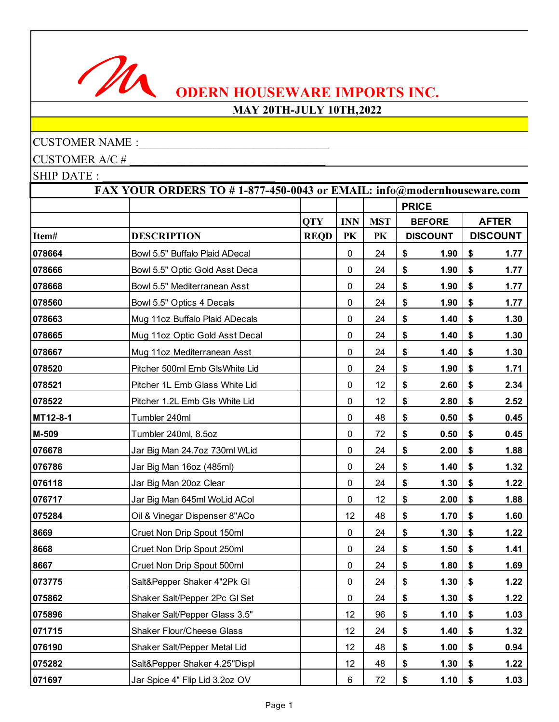

## **MAY 20TH-JULY 10TH,2022**

## CUSTOMER NAME :

CUSTOMER A/C #

|          | FAX YOUR ORDERS TO #1-877-450-0043 or EMAIL: info@modernhouseware.com |             |            |            |              |                 |    |                 |  |  |  |
|----------|-----------------------------------------------------------------------|-------------|------------|------------|--------------|-----------------|----|-----------------|--|--|--|
|          |                                                                       |             |            |            | <b>PRICE</b> |                 |    |                 |  |  |  |
|          |                                                                       | <b>QTY</b>  | <b>INN</b> | <b>MST</b> |              | <b>BEFORE</b>   |    | <b>AFTER</b>    |  |  |  |
| Item#    | <b>DESCRIPTION</b>                                                    | <b>REQD</b> | PK         | PK         |              | <b>DISCOUNT</b> |    | <b>DISCOUNT</b> |  |  |  |
| 078664   | Bowl 5.5" Buffalo Plaid ADecal                                        |             | 0          | 24         | \$           | 1.90            | \$ | 1.77            |  |  |  |
| 078666   | Bowl 5.5" Optic Gold Asst Deca                                        |             | 0          | 24         | \$           | 1.90            | \$ | 1.77            |  |  |  |
| 078668   | Bowl 5.5" Mediterranean Asst                                          |             | $\pmb{0}$  | 24         | \$           | 1.90            | \$ | 1.77            |  |  |  |
| 078560   | Bowl 5.5" Optics 4 Decals                                             |             | 0          | 24         | \$           | 1.90            | \$ | 1.77            |  |  |  |
| 078663   | Mug 11oz Buffalo Plaid ADecals                                        |             | 0          | 24         | \$           | 1.40            | \$ | 1.30            |  |  |  |
| 078665   | Mug 11oz Optic Gold Asst Decal                                        |             | $\pmb{0}$  | 24         | \$           | 1.40            | \$ | 1.30            |  |  |  |
| 078667   | Mug 11oz Mediterranean Asst                                           |             | 0          | 24         | \$           | 1.40            | \$ | 1.30            |  |  |  |
| 078520   | Pitcher 500ml Emb GlsWhite Lid                                        |             | 0          | 24         | \$           | 1.90            | \$ | 1.71            |  |  |  |
| 078521   | Pitcher 1L Emb Glass White Lid                                        |             | 0          | 12         | \$           | 2.60            | \$ | 2.34            |  |  |  |
| 078522   | Pitcher 1.2L Emb Gls White Lid                                        |             | 0          | 12         | \$           | 2.80            | \$ | 2.52            |  |  |  |
| MT12-8-1 | Tumbler 240ml                                                         |             | $\pmb{0}$  | 48         | \$           | 0.50            | \$ | 0.45            |  |  |  |
| M-509    | Tumbler 240ml, 8.5oz                                                  |             | 0          | 72         | \$           | 0.50            | \$ | 0.45            |  |  |  |
| 076678   | Jar Big Man 24.7oz 730ml WLid                                         |             | $\pmb{0}$  | 24         | \$           | 2.00            | \$ | 1.88            |  |  |  |
| 076786   | Jar Big Man 16oz (485ml)                                              |             | 0          | 24         | \$           | 1.40            | \$ | 1.32            |  |  |  |
| 076118   | Jar Big Man 20oz Clear                                                |             | $\pmb{0}$  | 24         | \$           | 1.30            | \$ | 1.22            |  |  |  |
| 076717   | Jar Big Man 645ml WoLid ACol                                          |             | $\pmb{0}$  | 12         | \$           | 2.00            | \$ | 1.88            |  |  |  |
| 075284   | Oil & Vinegar Dispenser 8"ACo                                         |             | 12         | 48         | \$           | 1.70            | \$ | 1.60            |  |  |  |
| 8669     | Cruet Non Drip Spout 150ml                                            |             | $\pmb{0}$  | 24         | \$           | 1.30            | \$ | 1.22            |  |  |  |
| 8668     | Cruet Non Drip Spout 250ml                                            |             | 0          | 24         | \$           | 1.50            | \$ | 1.41            |  |  |  |
| 8667     | Cruet Non Drip Spout 500ml                                            |             | 0          | 24         | \$           | 1.80            | \$ | 1.69            |  |  |  |
| 073775   | Salt&Pepper Shaker 4"2Pk GI                                           |             | $\pmb{0}$  | 24         | \$           | 1.30            | \$ | 1.22            |  |  |  |
| 075862   | Shaker Salt/Pepper 2Pc GI Set                                         |             | 0          | 24         | \$           | 1.30            | \$ | 1.22            |  |  |  |
| 075896   | Shaker Salt/Pepper Glass 3.5"                                         |             | 12         | 96         | \$           | 1.10            | \$ | 1.03            |  |  |  |
| 071715   | <b>Shaker Flour/Cheese Glass</b>                                      |             | 12         | 24         | \$           | 1.40            | \$ | 1.32            |  |  |  |
| 076190   | Shaker Salt/Pepper Metal Lid                                          |             | 12         | 48         | \$           | 1.00            | \$ | 0.94            |  |  |  |
| 075282   | Salt&Pepper Shaker 4.25"Displ                                         |             | 12         | 48         | \$           | 1.30            | \$ | 1.22            |  |  |  |
| 071697   | Jar Spice 4" Flip Lid 3.2oz OV                                        |             | 6          | 72         | \$           | 1.10            | \$ | 1.03            |  |  |  |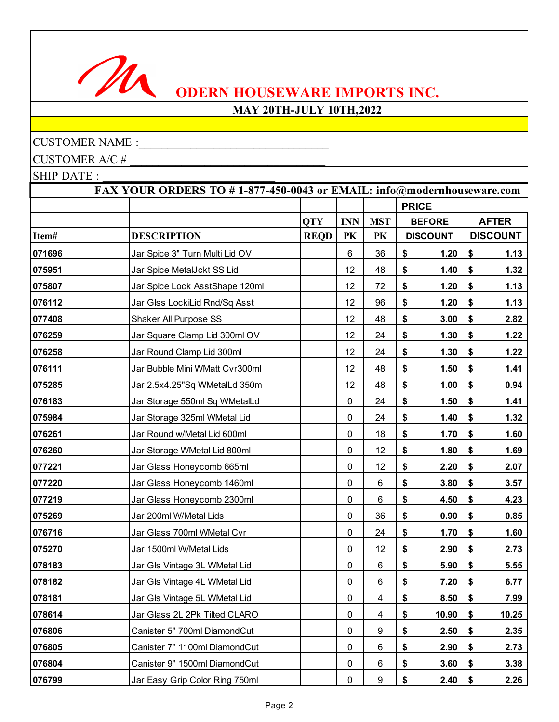

## **MAY 20TH-JULY 10TH,2022**

## CUSTOMER NAME :

CUSTOMER A/C # \_\_\_\_\_\_\_\_\_\_\_\_\_\_\_\_\_\_\_\_\_\_\_\_\_\_\_\_\_\_\_\_\_\_

|        | FAX YOUR ORDERS TO #1-877-450-0043 or EMAIL: info@modernhouseware.com |             |            |                          |              |                 |    |                 |  |  |
|--------|-----------------------------------------------------------------------|-------------|------------|--------------------------|--------------|-----------------|----|-----------------|--|--|
|        |                                                                       |             |            |                          | <b>PRICE</b> |                 |    |                 |  |  |
|        |                                                                       | <b>QTY</b>  | <b>INN</b> | <b>MST</b>               |              | <b>BEFORE</b>   |    | <b>AFTER</b>    |  |  |
| Item#  | <b>DESCRIPTION</b>                                                    | <b>REQD</b> | PK         | PK                       |              | <b>DISCOUNT</b> |    | <b>DISCOUNT</b> |  |  |
| 071696 | Jar Spice 3" Turn Multi Lid OV                                        |             | 6          | 36                       | \$           | 1.20            | \$ | 1.13            |  |  |
| 075951 | Jar Spice MetalJckt SS Lid                                            |             | 12         | 48                       | \$           | 1.40            | \$ | 1.32            |  |  |
| 075807 | Jar Spice Lock AsstShape 120ml                                        |             | 12         | 72                       | \$           | 1.20            | \$ | 1.13            |  |  |
| 076112 | Jar Glss LockiLid Rnd/Sq Asst                                         |             | 12         | 96                       | \$           | 1.20            | \$ | 1.13            |  |  |
| 077408 | Shaker All Purpose SS                                                 |             | 12         | 48                       | \$           | 3.00            | \$ | 2.82            |  |  |
| 076259 | Jar Square Clamp Lid 300ml OV                                         |             | 12         | 24                       | \$           | 1.30            | \$ | 1.22            |  |  |
| 076258 | Jar Round Clamp Lid 300ml                                             |             | 12         | 24                       | \$           | 1.30            | \$ | 1.22            |  |  |
| 076111 | Jar Bubble Mini WMatt Cvr300ml                                        |             | 12         | 48                       | \$           | 1.50            | \$ | 1.41            |  |  |
| 075285 | Jar 2.5x4.25"Sq WMetalLd 350m                                         |             | 12         | 48                       | \$           | 1.00            | \$ | 0.94            |  |  |
| 076183 | Jar Storage 550ml Sq WMetalLd                                         |             | 0          | 24                       | \$           | 1.50            | \$ | 1.41            |  |  |
| 075984 | Jar Storage 325ml WMetal Lid                                          |             | 0          | 24                       | \$           | 1.40            | \$ | 1.32            |  |  |
| 076261 | Jar Round w/Metal Lid 600ml                                           |             | 0          | 18                       | \$           | 1.70            | \$ | 1.60            |  |  |
| 076260 | Jar Storage WMetal Lid 800ml                                          |             | 0          | 12                       | \$           | 1.80            | \$ | 1.69            |  |  |
| 077221 | Jar Glass Honeycomb 665ml                                             |             | 0          | 12                       | \$           | 2.20            | \$ | 2.07            |  |  |
| 077220 | Jar Glass Honeycomb 1460ml                                            |             | 0          | 6                        | \$           | 3.80            | \$ | 3.57            |  |  |
| 077219 | Jar Glass Honeycomb 2300ml                                            |             | 0          | 6                        | \$           | 4.50            | \$ | 4.23            |  |  |
| 075269 | Jar 200ml W/Metal Lids                                                |             | 0          | 36                       | \$           | 0.90            | \$ | 0.85            |  |  |
| 076716 | Jar Glass 700ml WMetal Cvr                                            |             | 0          | 24                       | \$           | 1.70            | \$ | 1.60            |  |  |
| 075270 | Jar 1500ml W/Metal Lids                                               |             | 0          | 12                       | \$           | 2.90            | \$ | 2.73            |  |  |
| 078183 | Jar Gls Vintage 3L WMetal Lid                                         |             | 0          | 6                        | \$           | 5.90            | \$ | 5.55            |  |  |
| 078182 | Jar Gls Vintage 4L WMetal Lid                                         |             | $\pmb{0}$  | 6                        | \$           | 7.20            | \$ | 6.77            |  |  |
| 078181 | Jar Gls Vintage 5L WMetal Lid                                         |             | 0          | 4                        | \$           | 8.50            | \$ | 7.99            |  |  |
| 078614 | Jar Glass 2L 2Pk Tilted CLARO                                         |             | 0          | $\overline{\mathcal{A}}$ | \$           | 10.90           | \$ | 10.25           |  |  |
| 076806 | Canister 5" 700ml DiamondCut                                          |             | $\pmb{0}$  | 9                        | \$           | 2.50            | \$ | 2.35            |  |  |
| 076805 | Canister 7" 1100ml DiamondCut                                         |             | 0          | 6                        | \$           | 2.90            | \$ | 2.73            |  |  |
| 076804 | Canister 9" 1500ml DiamondCut                                         |             | 0          | 6                        | \$           | 3.60            | \$ | 3.38            |  |  |
| 076799 | Jar Easy Grip Color Ring 750ml                                        |             | $\pmb{0}$  | 9                        | \$           | 2.40            | \$ | 2.26            |  |  |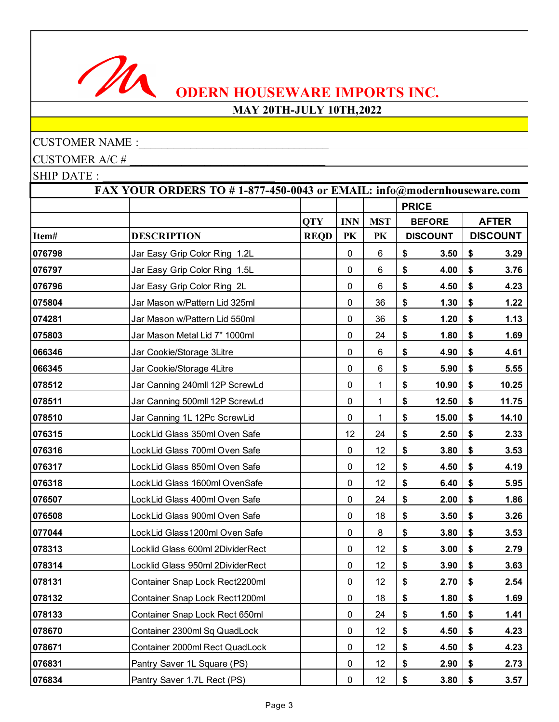

## **MAY 20TH-JULY 10TH,2022**

## CUSTOMER NAME :

CUSTOMER A/C # \_\_\_\_\_\_\_\_\_\_\_\_\_\_\_\_\_\_\_\_\_\_\_\_\_\_\_\_\_\_\_\_\_\_

|        | FAX YOUR ORDERS TO #1-877-450-0043 or EMAIL: info@modernhouseware.com |             |            |            |              |                 |                 |
|--------|-----------------------------------------------------------------------|-------------|------------|------------|--------------|-----------------|-----------------|
|        |                                                                       |             |            |            | <b>PRICE</b> |                 |                 |
|        |                                                                       | <b>QTY</b>  | <b>INN</b> | <b>MST</b> |              | <b>BEFORE</b>   | <b>AFTER</b>    |
| Item#  | <b>DESCRIPTION</b>                                                    | <b>REQD</b> | PK         | PK         |              | <b>DISCOUNT</b> | <b>DISCOUNT</b> |
| 076798 | Jar Easy Grip Color Ring 1.2L                                         |             | $\pmb{0}$  | 6          | \$           | 3.50            | \$<br>3.29      |
| 076797 | Jar Easy Grip Color Ring 1.5L                                         |             | 0          | 6          | \$           | 4.00            | \$<br>3.76      |
| 076796 | Jar Easy Grip Color Ring 2L                                           |             | $\pmb{0}$  | 6          | \$           | 4.50            | \$<br>4.23      |
| 075804 | Jar Mason w/Pattern Lid 325ml                                         |             | $\pmb{0}$  | 36         | \$           | 1.30            | \$<br>1.22      |
| 074281 | Jar Mason w/Pattern Lid 550ml                                         |             | $\pmb{0}$  | 36         | \$           | 1.20            | \$<br>1.13      |
| 075803 | Jar Mason Metal Lid 7" 1000ml                                         |             | 0          | 24         | \$           | 1.80            | \$<br>1.69      |
| 066346 | Jar Cookie/Storage 3Litre                                             |             | $\pmb{0}$  | 6          | \$           | 4.90            | \$<br>4.61      |
| 066345 | Jar Cookie/Storage 4Litre                                             |             | 0          | 6          | \$           | 5.90            | \$<br>5.55      |
| 078512 | Jar Canning 240mll 12P ScrewLd                                        |             | $\pmb{0}$  | 1          | \$           | 10.90           | \$<br>10.25     |
| 078511 | Jar Canning 500mll 12P ScrewLd                                        |             | $\pmb{0}$  | 1          | \$           | 12.50           | \$<br>11.75     |
| 078510 | Jar Canning 1L 12Pc ScrewLid                                          |             | $\pmb{0}$  | 1          | \$           | 15.00           | \$<br>14.10     |
| 076315 | LockLid Glass 350ml Oven Safe                                         |             | 12         | 24         | \$           | 2.50            | \$<br>2.33      |
| 076316 | LockLid Glass 700ml Oven Safe                                         |             | $\pmb{0}$  | 12         | \$           | 3.80            | \$<br>3.53      |
| 076317 | LockLid Glass 850ml Oven Safe                                         |             | 0          | 12         | \$           | 4.50            | \$<br>4.19      |
| 076318 | LockLid Glass 1600ml OvenSafe                                         |             | $\pmb{0}$  | 12         | \$           | 6.40            | \$<br>5.95      |
| 076507 | LockLid Glass 400ml Oven Safe                                         |             | 0          | 24         | \$           | 2.00            | \$<br>1.86      |
| 076508 | LockLid Glass 900ml Oven Safe                                         |             | $\pmb{0}$  | 18         | \$           | 3.50            | \$<br>3.26      |
| 077044 | LockLid Glass1200ml Oven Safe                                         |             | $\pmb{0}$  | 8          | \$           | 3.80            | \$<br>3.53      |
| 078313 | Locklid Glass 600ml 2DividerRect                                      |             | $\pmb{0}$  | 12         | \$           | 3.00            | \$<br>2.79      |
| 078314 | Locklid Glass 950ml 2DividerRect                                      |             | $\pmb{0}$  | 12         | \$           | 3.90            | \$<br>3.63      |
| 078131 | Container Snap Lock Rect2200ml                                        |             | $\pmb{0}$  | 12         | \$           | 2.70            | \$<br>2.54      |
| 078132 | Container Snap Lock Rect1200ml                                        |             | 0          | 18         | \$           | 1.80            | \$<br>1.69      |
| 078133 | Container Snap Lock Rect 650ml                                        |             | 0          | 24         | \$           | 1.50            | \$<br>1.41      |
| 078670 | Container 2300ml Sq QuadLock                                          |             | 0          | 12         | \$           | 4.50            | \$<br>4.23      |
| 078671 | Container 2000ml Rect QuadLock                                        |             | 0          | 12         | \$           | 4.50            | \$<br>4.23      |
| 076831 | Pantry Saver 1L Square (PS)                                           |             | 0          | 12         | \$           | 2.90            | \$<br>2.73      |
| 076834 | Pantry Saver 1.7L Rect (PS)                                           |             | 0          | 12         | \$           | 3.80            | \$<br>3.57      |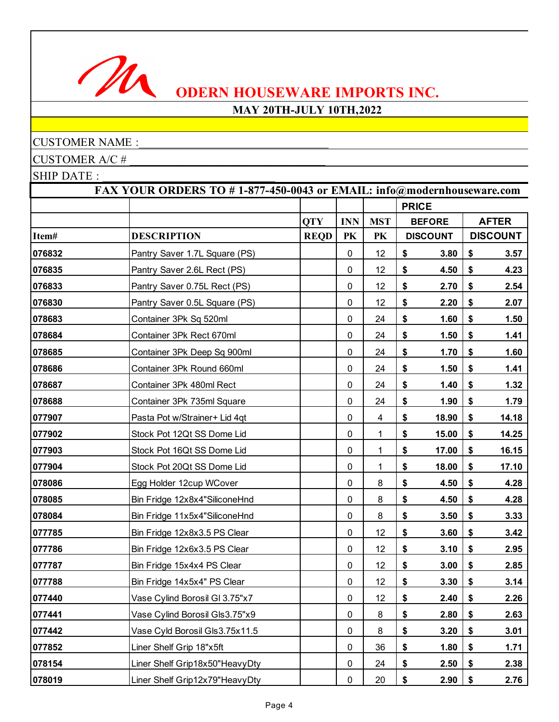

## **MAY 20TH-JULY 10TH,2022**

## CUSTOMER NAME :

CUSTOMER A/C #

|        | FAX YOUR ORDERS TO #1-877-450-0043 or EMAIL: info@modernhouseware.com |             |            |                |              |                 |    |                 |  |  |
|--------|-----------------------------------------------------------------------|-------------|------------|----------------|--------------|-----------------|----|-----------------|--|--|
|        |                                                                       |             |            |                | <b>PRICE</b> |                 |    |                 |  |  |
|        |                                                                       | <b>QTY</b>  | <b>INN</b> | <b>MST</b>     |              | <b>BEFORE</b>   |    | <b>AFTER</b>    |  |  |
| Item#  | <b>DESCRIPTION</b>                                                    | <b>REQD</b> | PK         | PK             |              | <b>DISCOUNT</b> |    | <b>DISCOUNT</b> |  |  |
| 076832 | Pantry Saver 1.7L Square (PS)                                         |             | $\pmb{0}$  | 12             | \$           | 3.80            | \$ | 3.57            |  |  |
| 076835 | Pantry Saver 2.6L Rect (PS)                                           |             | 0          | 12             | \$           | 4.50            | \$ | 4.23            |  |  |
| 076833 | Pantry Saver 0.75L Rect (PS)                                          |             | $\pmb{0}$  | 12             | \$           | 2.70            | \$ | 2.54            |  |  |
| 076830 | Pantry Saver 0.5L Square (PS)                                         |             | 0          | 12             | \$           | 2.20            | \$ | 2.07            |  |  |
| 078683 | Container 3Pk Sq 520ml                                                |             | 0          | 24             | \$           | 1.60            | \$ | 1.50            |  |  |
| 078684 | Container 3Pk Rect 670ml                                              |             | $\pmb{0}$  | 24             | \$           | 1.50            | \$ | 1.41            |  |  |
| 078685 | Container 3Pk Deep Sq 900ml                                           |             | 0          | 24             | \$           | 1.70            | \$ | 1.60            |  |  |
| 078686 | Container 3Pk Round 660ml                                             |             | $\pmb{0}$  | 24             | \$           | 1.50            | \$ | 1.41            |  |  |
| 078687 | Container 3Pk 480ml Rect                                              |             | 0          | 24             | \$           | 1.40            | \$ | 1.32            |  |  |
| 078688 | Container 3Pk 735ml Square                                            |             | 0          | 24             | \$           | 1.90            | \$ | 1.79            |  |  |
| 077907 | Pasta Pot w/Strainer+ Lid 4qt                                         |             | $\pmb{0}$  | $\overline{4}$ | \$           | 18.90           | \$ | 14.18           |  |  |
| 077902 | Stock Pot 12Qt SS Dome Lid                                            |             | 0          | 1              | \$           | 15.00           | \$ | 14.25           |  |  |
| 077903 | Stock Pot 16Qt SS Dome Lid                                            |             | $\pmb{0}$  | 1              | \$           | 17.00           | \$ | 16.15           |  |  |
| 077904 | Stock Pot 20Qt SS Dome Lid                                            |             | 0          | 1              | \$           | 18.00           | \$ | 17.10           |  |  |
| 078086 | Egg Holder 12cup WCover                                               |             | 0          | 8              | \$           | 4.50            | \$ | 4.28            |  |  |
| 078085 | Bin Fridge 12x8x4"SiliconeHnd                                         |             | 0          | 8              | \$           | 4.50            | \$ | 4.28            |  |  |
| 078084 | Bin Fridge 11x5x4"SiliconeHnd                                         |             | 0          | 8              | \$           | 3.50            | \$ | 3.33            |  |  |
| 077785 | Bin Fridge 12x8x3.5 PS Clear                                          |             | $\pmb{0}$  | 12             | \$           | 3.60            | \$ | 3.42            |  |  |
| 077786 | Bin Fridge 12x6x3.5 PS Clear                                          |             | 0          | 12             | \$           | 3.10            | \$ | 2.95            |  |  |
| 077787 | Bin Fridge 15x4x4 PS Clear                                            |             | 0          | 12             | \$           | 3.00            | \$ | 2.85            |  |  |
| 077788 | Bin Fridge 14x5x4" PS Clear                                           |             | $\pmb{0}$  | 12             | \$           | 3.30            | \$ | 3.14            |  |  |
| 077440 | Vase Cylind Borosil Gl 3.75"x7                                        |             | 0          | 12             | \$           | 2.40            | \$ | 2.26            |  |  |
| 077441 | Vase Cylind Borosil Gls3.75"x9                                        |             | 0          | 8              | \$           | 2.80            | \$ | 2.63            |  |  |
| 077442 | Vase Cyld Borosil Gls3.75x11.5                                        |             | $\pmb{0}$  | 8              | \$           | 3.20            | \$ | 3.01            |  |  |
| 077852 | Liner Shelf Grip 18"x5ft                                              |             | 0          | 36             | \$           | 1.80            | \$ | 1.71            |  |  |
| 078154 | Liner Shelf Grip18x50"HeavyDty                                        |             | 0          | 24             | \$           | 2.50            | \$ | 2.38            |  |  |
| 078019 | Liner Shelf Grip12x79"HeavyDty                                        |             | $\pmb{0}$  | 20             | \$           | 2.90            | \$ | 2.76            |  |  |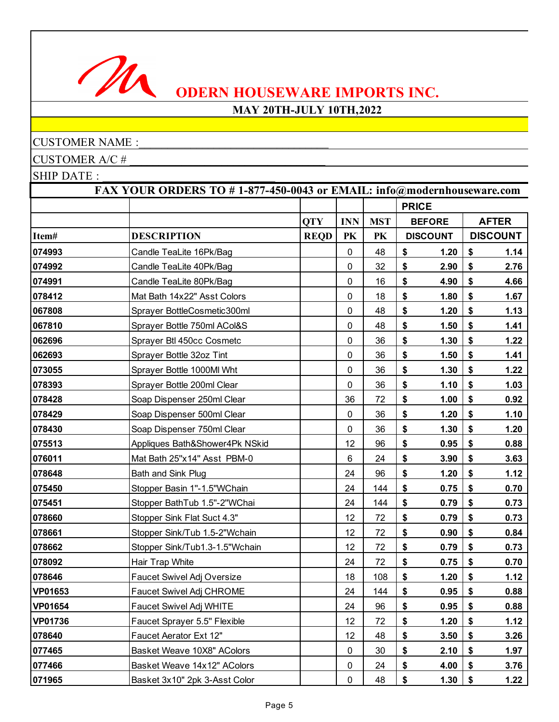

## **MAY 20TH-JULY 10TH,2022**

## CUSTOMER NAME :

CUSTOMER A/C # \_\_\_\_\_\_\_\_\_\_\_\_\_\_\_\_\_\_\_\_\_\_\_\_\_\_\_\_\_\_\_\_\_\_

|                | FAX YOUR ORDERS TO #1-877-450-0043 or EMAIL: info@modernhouseware.com |             |             |            |              |                 |                 |
|----------------|-----------------------------------------------------------------------|-------------|-------------|------------|--------------|-----------------|-----------------|
|                |                                                                       |             |             |            | <b>PRICE</b> |                 |                 |
|                |                                                                       | <b>QTY</b>  | <b>INN</b>  | <b>MST</b> |              | <b>BEFORE</b>   | <b>AFTER</b>    |
| Item#          | <b>DESCRIPTION</b>                                                    | <b>REQD</b> | PK          | PK         |              | <b>DISCOUNT</b> | <b>DISCOUNT</b> |
| 074993         | Candle TeaLite 16Pk/Bag                                               |             | $\mathbf 0$ | 48         | \$           | 1.20            | \$<br>1.14      |
| 074992         | Candle TeaLite 40Pk/Bag                                               |             | 0           | 32         | \$           | 2.90            | \$<br>2.76      |
| 074991         | Candle TeaLite 80Pk/Bag                                               |             | 0           | 16         | \$           | 4.90            | \$<br>4.66      |
| 078412         | Mat Bath 14x22" Asst Colors                                           |             | 0           | 18         | \$           | 1.80            | \$<br>1.67      |
| 067808         | Sprayer BottleCosmetic300ml                                           |             | $\mathbf 0$ | 48         | \$           | 1.20            | \$<br>1.13      |
| 067810         | Sprayer Bottle 750ml ACol&S                                           |             | 0           | 48         | \$           | 1.50            | \$<br>1.41      |
| 062696         | Sprayer Btl 450cc Cosmetc                                             |             | 0           | 36         | \$           | 1.30            | \$<br>1.22      |
| 062693         | Sprayer Bottle 32oz Tint                                              |             | 0           | 36         | \$           | 1.50            | \$<br>1.41      |
| 073055         | Sprayer Bottle 1000Ml Wht                                             |             | $\mathbf 0$ | 36         | \$           | 1.30            | \$<br>1.22      |
| 078393         | Sprayer Bottle 200ml Clear                                            |             | 0           | 36         | \$           | 1.10            | \$<br>1.03      |
| 078428         | Soap Dispenser 250ml Clear                                            |             | 36          | 72         | \$           | 1.00            | \$<br>0.92      |
| 078429         | Soap Dispenser 500ml Clear                                            |             | 0           | 36         | \$           | 1.20            | \$<br>1.10      |
| 078430         | Soap Dispenser 750ml Clear                                            |             | 0           | 36         | \$           | 1.30            | \$<br>1.20      |
| 075513         | Appliques Bath&Shower4Pk NSkid                                        |             | 12          | 96         | \$           | 0.95            | \$<br>0.88      |
| 076011         | Mat Bath 25"x14" Asst PBM-0                                           |             | 6           | 24         | \$           | 3.90            | \$<br>3.63      |
| 078648         | Bath and Sink Plug                                                    |             | 24          | 96         | \$           | 1.20            | \$<br>1.12      |
| 075450         | Stopper Basin 1"-1.5"WChain                                           |             | 24          | 144        | \$           | 0.75            | \$<br>0.70      |
| 075451         | Stopper BathTub 1.5"-2"WChai                                          |             | 24          | 144        | \$           | 0.79            | \$<br>0.73      |
| 078660         | Stopper Sink Flat Suct 4.3"                                           |             | 12          | 72         | \$           | 0.79            | \$<br>0.73      |
| 078661         | Stopper Sink/Tub 1.5-2"Wchain                                         |             | 12          | 72         | \$           | 0.90            | \$<br>0.84      |
| 078662         | Stopper Sink/Tub1.3-1.5"Wchain                                        |             | 12          | 72         | \$           | 0.79            | \$<br>0.73      |
| 078092         | Hair Trap White                                                       |             | 24          | 72         | \$           | 0.75            | \$<br>0.70      |
| 078646         | Faucet Swivel Adj Oversize                                            |             | 18          | 108        | \$           | 1.20            | \$<br>1.12      |
| <b>VP01653</b> | Faucet Swivel Adj CHROME                                              |             | 24          | 144        | \$           | 0.95            | \$<br>0.88      |
| <b>VP01654</b> | Faucet Swivel Adj WHITE                                               |             | 24          | 96         | \$           | 0.95            | \$<br>0.88      |
| <b>VP01736</b> | Faucet Sprayer 5.5" Flexible                                          |             | 12          | 72         | \$           | 1.20            | \$<br>1.12      |
| 078640         | Faucet Aerator Ext 12"                                                |             | 12          | 48         | \$           | 3.50            | \$<br>3.26      |
| 077465         | Basket Weave 10X8" AColors                                            |             | $\mathbf 0$ | 30         | \$           | 2.10            | \$<br>1.97      |
| 077466         | Basket Weave 14x12" AColors                                           |             | 0           | 24         | \$           | 4.00            | \$<br>3.76      |
| 071965         | Basket 3x10" 2pk 3-Asst Color                                         |             | 0           | 48         | \$           | 1.30            | \$<br>1.22      |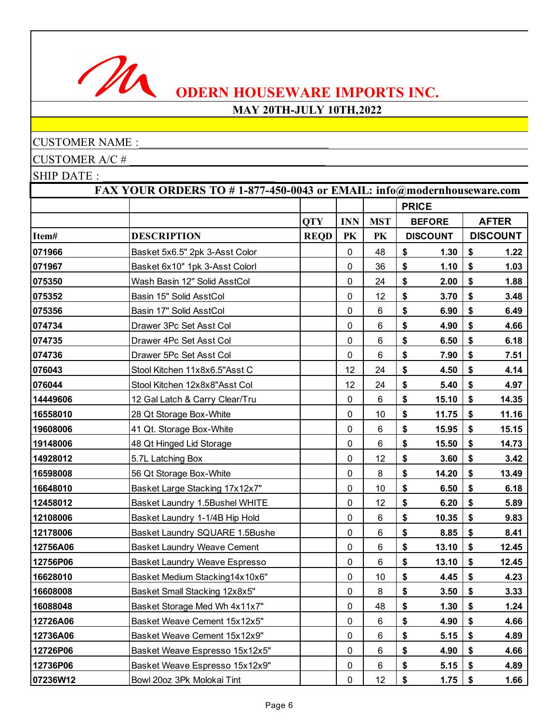

## **MAY 20TH-JULY 10TH,2022**

## CUSTOMER NAME :

CUSTOMER A/C # \_\_\_\_\_\_\_\_\_\_\_\_\_\_\_\_\_\_\_\_\_\_\_\_\_\_\_\_\_\_\_\_\_\_

|          | FAX YOUR ORDERS TO #1-877-450-0043 or EMAIL: info@modernhouseware.com |             |             |            |              |                 |    |                 |  |  |
|----------|-----------------------------------------------------------------------|-------------|-------------|------------|--------------|-----------------|----|-----------------|--|--|
|          |                                                                       |             |             |            | <b>PRICE</b> |                 |    |                 |  |  |
|          |                                                                       | <b>QTY</b>  | <b>INN</b>  | <b>MST</b> |              | <b>BEFORE</b>   |    | <b>AFTER</b>    |  |  |
| Item#    | <b>DESCRIPTION</b>                                                    | <b>REQD</b> | PK          | PK         |              | <b>DISCOUNT</b> |    | <b>DISCOUNT</b> |  |  |
| 071966   | Basket 5x6.5" 2pk 3-Asst Color                                        |             | 0           | 48         | \$           | 1.30            | \$ | 1.22            |  |  |
| 071967   | Basket 6x10" 1pk 3-Asst Colorl                                        |             | 0           | 36         | \$           | 1.10            | \$ | 1.03            |  |  |
| 075350   | Wash Basin 12" Solid AsstCol                                          |             | 0           | 24         | \$           | 2.00            | \$ | 1.88            |  |  |
| 075352   | Basin 15" Solid AsstCol                                               |             | 0           | 12         | \$           | 3.70            | \$ | 3.48            |  |  |
| 075356   | Basin 17" Solid AsstCol                                               |             | 0           | $\,6\,$    | \$           | 6.90            | \$ | 6.49            |  |  |
| 074734   | Drawer 3Pc Set Asst Col                                               |             | 0           | 6          | \$           | 4.90            | \$ | 4.66            |  |  |
| 074735   | Drawer 4Pc Set Asst Col                                               |             | 0           | 6          | \$           | 6.50            | \$ | 6.18            |  |  |
| 074736   | Drawer 5Pc Set Asst Col                                               |             | 0           | 6          | \$           | 7.90            | \$ | 7.51            |  |  |
| 076043   | Stool Kitchen 11x8x6.5"Asst C                                         |             | 12          | 24         | \$           | 4.50            | \$ | 4.14            |  |  |
| 076044   | Stool Kitchen 12x8x8"Asst Col                                         |             | 12          | 24         | \$           | 5.40            | \$ | 4.97            |  |  |
| 14449606 | 12 Gal Latch & Carry Clear/Tru                                        |             | 0           | 6          | \$           | 15.10           | \$ | 14.35           |  |  |
| 16558010 | 28 Qt Storage Box-White                                               |             | 0           | 10         | \$           | 11.75           | \$ | 11.16           |  |  |
| 19608006 | 41 Qt. Storage Box-White                                              |             | 0           | 6          | \$           | 15.95           | \$ | 15.15           |  |  |
| 19148006 | 48 Qt Hinged Lid Storage                                              |             | 0           | 6          | \$           | 15.50           | \$ | 14.73           |  |  |
| 14928012 | 5.7L Latching Box                                                     |             | 0           | 12         | \$           | 3.60            | \$ | 3.42            |  |  |
| 16598008 | 56 Qt Storage Box-White                                               |             | 0           | 8          | \$           | 14.20           | \$ | 13.49           |  |  |
| 16648010 | Basket Large Stacking 17x12x7"                                        |             | 0           | 10         | \$           | 6.50            | \$ | 6.18            |  |  |
| 12458012 | Basket Laundry 1.5Bushel WHITE                                        |             | 0           | 12         | \$           | 6.20            | \$ | 5.89            |  |  |
| 12108006 | Basket Laundry 1-1/4B Hip Hold                                        |             | $\mathbf 0$ | 6          | \$           | 10.35           | \$ | 9.83            |  |  |
| 12178006 | Basket Laundry SQUARE 1.5Bushe                                        |             | 0           | 6          | \$           | 8.85            | \$ | 8.41            |  |  |
| 12756A06 | <b>Basket Laundry Weave Cement</b>                                    |             | 0           | 6          | \$           | 13.10           | \$ | 12.45           |  |  |
| 12756P06 | Basket Laundry Weave Espresso                                         |             | 0           | $\,6\,$    | \$           | 13.10           | \$ | 12.45           |  |  |
| 16628010 | Basket Medium Stacking14x10x6"                                        |             | 0           | 10         | \$           | 4.45            | \$ | 4.23            |  |  |
| 16608008 | Basket Small Stacking 12x8x5"                                         |             | 0           | 8          | \$           | 3.50            | \$ | 3.33            |  |  |
| 16088048 | Basket Storage Med Wh 4x11x7"                                         |             | $\mathbf 0$ | 48         | \$           | 1.30            | \$ | 1.24            |  |  |
| 12726A06 | Basket Weave Cement 15x12x5"                                          |             | 0           | 6          | \$           | 4.90            | \$ | 4.66            |  |  |
| 12736A06 | Basket Weave Cement 15x12x9"                                          |             | 0           | 6          | \$           | 5.15            | \$ | 4.89            |  |  |
| 12726P06 | Basket Weave Espresso 15x12x5"                                        |             | 0           | 6          | \$           | 4.90            | \$ | 4.66            |  |  |
| 12736P06 | Basket Weave Espresso 15x12x9"                                        |             | 0           | 6          | \$           | 5.15            | \$ | 4.89            |  |  |
| 07236W12 | Bowl 20oz 3Pk Molokai Tint                                            |             | 0           | 12         | \$           | 1.75            | \$ | 1.66            |  |  |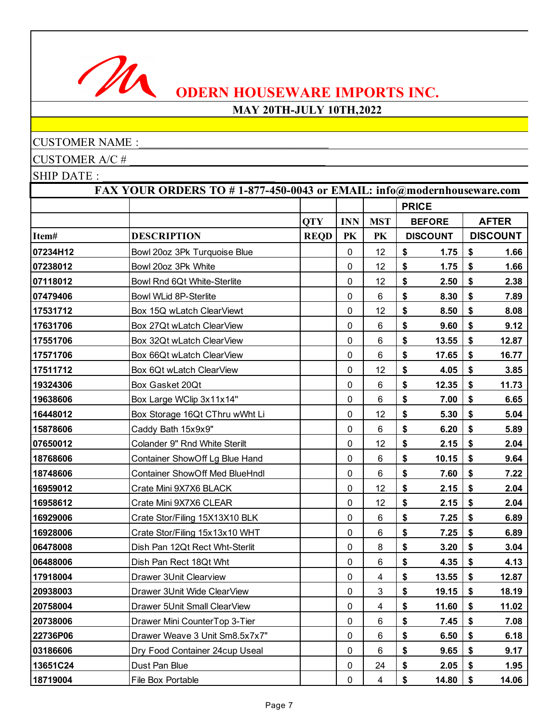

## **MAY 20TH-JULY 10TH,2022**

## CUSTOMER NAME :

CUSTOMER A/C #

|          | FAX YOUR ORDERS TO #1-877-450-0043 or EMAIL: info@modernhouseware.com |             |             |            |              |                 |    |                 |  |
|----------|-----------------------------------------------------------------------|-------------|-------------|------------|--------------|-----------------|----|-----------------|--|
|          |                                                                       |             |             |            | <b>PRICE</b> |                 |    |                 |  |
|          |                                                                       | <b>QTY</b>  | <b>INN</b>  | <b>MST</b> |              | <b>BEFORE</b>   |    | <b>AFTER</b>    |  |
| Item#    | <b>DESCRIPTION</b>                                                    | <b>REQD</b> | PK          | PK         |              | <b>DISCOUNT</b> |    | <b>DISCOUNT</b> |  |
| 07234H12 | Bowl 20oz 3Pk Turquoise Blue                                          |             | 0           | 12         | \$           | 1.75            | \$ | 1.66            |  |
| 07238012 | Bowl 20oz 3Pk White                                                   |             | 0           | 12         | \$           | 1.75            | \$ | 1.66            |  |
| 07118012 | Bowl Rnd 6Qt White-Sterlite                                           |             | 0           | 12         | \$           | 2.50            | \$ | 2.38            |  |
| 07479406 | Bowl WLid 8P-Sterlite                                                 |             | 0           | 6          | \$           | 8.30            | \$ | 7.89            |  |
| 17531712 | Box 15Q wLatch ClearViewt                                             |             | 0           | 12         | \$           | 8.50            | \$ | 8.08            |  |
| 17631706 | Box 27Qt wLatch ClearView                                             |             | 0           | 6          | \$           | 9.60            | \$ | 9.12            |  |
| 17551706 | Box 32Qt wLatch ClearView                                             |             | 0           | 6          | \$           | 13.55           | \$ | 12.87           |  |
| 17571706 | Box 66Qt wLatch ClearView                                             |             | 0           | 6          | \$           | 17.65           | \$ | 16.77           |  |
| 17511712 | Box 6Qt wLatch ClearView                                              |             | 0           | 12         | \$           | 4.05            | \$ | 3.85            |  |
| 19324306 | Box Gasket 20Qt                                                       |             | 0           | 6          | \$           | 12.35           | \$ | 11.73           |  |
| 19638606 | Box Large WClip 3x11x14"                                              |             | 0           | 6          | \$           | 7.00            | \$ | 6.65            |  |
| 16448012 | Box Storage 16Qt CThru wWht Li                                        |             | 0           | 12         | \$           | 5.30            | \$ | 5.04            |  |
| 15878606 | Caddy Bath 15x9x9"                                                    |             | 0           | 6          | \$           | 6.20            | \$ | 5.89            |  |
| 07650012 | Colander 9" Rnd White Sterilt                                         |             | 0           | 12         | \$           | 2.15            | \$ | 2.04            |  |
| 18768606 | Container ShowOff Lg Blue Hand                                        |             | 0           | 6          | \$           | 10.15           | \$ | 9.64            |  |
| 18748606 | <b>Container ShowOff Med BlueHndl</b>                                 |             | 0           | 6          | \$           | 7.60            | \$ | 7.22            |  |
| 16959012 | Crate Mini 9X7X6 BLACK                                                |             | 0           | 12         | \$           | 2.15            | \$ | 2.04            |  |
| 16958612 | Crate Mini 9X7X6 CLEAR                                                |             | 0           | 12         | \$           | 2.15            | \$ | 2.04            |  |
| 16929006 | Crate Stor/Filing 15X13X10 BLK                                        |             | $\mathbf 0$ | 6          | \$           | 7.25            | \$ | 6.89            |  |
| 16928006 | Crate Stor/Filing 15x13x10 WHT                                        |             | 0           | 6          | \$           | 7.25            | \$ | 6.89            |  |
| 06478008 | Dish Pan 12Qt Rect Wht-Sterlit                                        |             | 0           | 8          | \$           | 3.20            | \$ | 3.04            |  |
| 06488006 | Dish Pan Rect 18Qt Wht                                                |             | 0           | $\,6\,$    | \$           | 4.35            | \$ | 4.13            |  |
| 17918004 | Drawer 3Unit Clearview                                                |             | 0           | 4          | \$           | 13.55           | \$ | 12.87           |  |
| 20938003 | Drawer 3Unit Wide ClearView                                           |             | 0           | 3          | \$           | 19.15           | \$ | 18.19           |  |
| 20758004 | Drawer 5Unit Small ClearView                                          |             | $\mathbf 0$ | 4          | \$           | 11.60           | \$ | 11.02           |  |
| 20738006 | Drawer Mini CounterTop 3-Tier                                         |             | 0           | 6          | \$           | 7.45            | \$ | 7.08            |  |
| 22736P06 | Drawer Weave 3 Unit Sm8.5x7x7"                                        |             | 0           | 6          | \$           | 6.50            | \$ | 6.18            |  |
| 03186606 | Dry Food Container 24cup Useal                                        |             | 0           | 6          | \$           | 9.65            | \$ | 9.17            |  |
| 13651C24 | Dust Pan Blue                                                         |             | 0           | 24         | \$           | 2.05            | \$ | 1.95            |  |
| 18719004 | File Box Portable                                                     |             | 0           | 4          | \$           | 14.80           | \$ | 14.06           |  |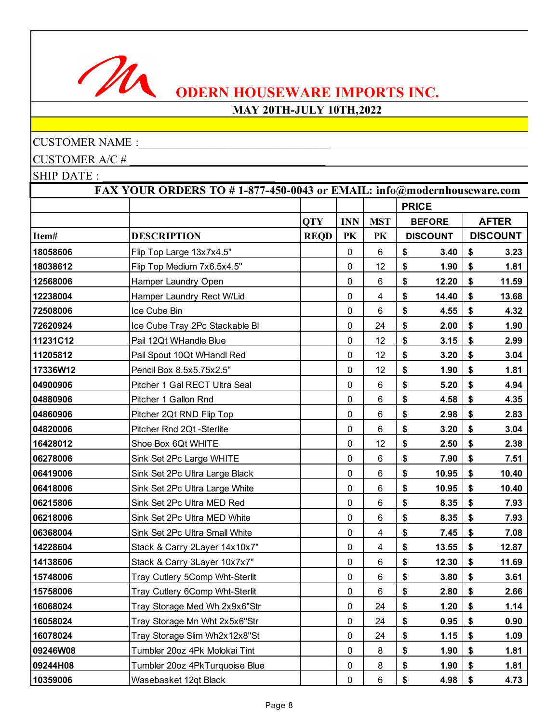

## **MAY 20TH-JULY 10TH,2022**

## CUSTOMER NAME :

CUSTOMER A/C # \_\_\_\_\_\_\_\_\_\_\_\_\_\_\_\_\_\_\_\_\_\_\_\_\_\_\_\_\_\_\_\_\_\_

|          | FAX YOUR ORDERS TO #1-877-450-0043 or EMAIL: info@modernhouseware.com |             |             |            |              |                 |    |                 |  |
|----------|-----------------------------------------------------------------------|-------------|-------------|------------|--------------|-----------------|----|-----------------|--|
|          |                                                                       |             |             |            | <b>PRICE</b> |                 |    |                 |  |
|          |                                                                       | <b>QTY</b>  | <b>INN</b>  | <b>MST</b> |              | <b>BEFORE</b>   |    | <b>AFTER</b>    |  |
| Item#    | <b>DESCRIPTION</b>                                                    | <b>REQD</b> | PK          | PK         |              | <b>DISCOUNT</b> |    | <b>DISCOUNT</b> |  |
| 18058606 | Flip Top Large 13x7x4.5"                                              |             | 0           | 6          | \$           | 3.40            | \$ | 3.23            |  |
| 18038612 | Flip Top Medium 7x6.5x4.5"                                            |             | 0           | 12         | \$           | 1.90            | \$ | 1.81            |  |
| 12568006 | Hamper Laundry Open                                                   |             | 0           | 6          | \$           | 12.20           | \$ | 11.59           |  |
| 12238004 | Hamper Laundry Rect W/Lid                                             |             | 0           | 4          | \$           | 14.40           | \$ | 13.68           |  |
| 72508006 | Ice Cube Bin                                                          |             | $\mathbf 0$ | $\,6\,$    | \$           | 4.55            | \$ | 4.32            |  |
| 72620924 | Ice Cube Tray 2Pc Stackable BI                                        |             | 0           | 24         | \$           | 2.00            | \$ | 1.90            |  |
| 11231C12 | Pail 12Qt WHandle Blue                                                |             | 0           | 12         | \$           | 3.15            | \$ | 2.99            |  |
| 11205812 | Pail Spout 10Qt WHandl Red                                            |             | 0           | 12         | \$           | 3.20            | \$ | 3.04            |  |
| 17336W12 | Pencil Box 8.5x5.75x2.5"                                              |             | 0           | 12         | \$           | 1.90            | \$ | 1.81            |  |
| 04900906 | Pitcher 1 Gal RECT Ultra Seal                                         |             | 0           | 6          | \$           | 5.20            | \$ | 4.94            |  |
| 04880906 | Pitcher 1 Gallon Rnd                                                  |             | 0           | 6          | \$           | 4.58            | \$ | 4.35            |  |
| 04860906 | Pitcher 2Qt RND Flip Top                                              |             | 0           | $\,6\,$    | \$           | 2.98            | \$ | 2.83            |  |
| 04820006 | Pitcher Rnd 2Qt -Sterlite                                             |             | 0           | 6          | \$           | 3.20            | \$ | 3.04            |  |
| 16428012 | Shoe Box 6Qt WHITE                                                    |             | 0           | 12         | \$           | 2.50            | \$ | 2.38            |  |
| 06278006 | Sink Set 2Pc Large WHITE                                              |             | 0           | 6          | \$           | 7.90            | \$ | 7.51            |  |
| 06419006 | Sink Set 2Pc Ultra Large Black                                        |             | 0           | 6          | \$           | 10.95           | \$ | 10.40           |  |
| 06418006 | Sink Set 2Pc Ultra Large White                                        |             | 0           | 6          | \$           | 10.95           | \$ | 10.40           |  |
| 06215806 | Sink Set 2Pc Ultra MED Red                                            |             | 0           | 6          | \$           | 8.35            | \$ | 7.93            |  |
| 06218006 | Sink Set 2Pc Ultra MED White                                          |             | $\mathbf 0$ | 6          | \$           | 8.35            | \$ | 7.93            |  |
| 06368004 | Sink Set 2Pc Ultra Small White                                        |             | 0           | 4          | \$           | 7.45            | \$ | 7.08            |  |
| 14228604 | Stack & Carry 2Layer 14x10x7"                                         |             | 0           | 4          | \$           | 13.55           | \$ | 12.87           |  |
| 14138606 | Stack & Carry 3Layer 10x7x7"                                          |             | 0           | $\,6\,$    | \$           | 12.30           | \$ | 11.69           |  |
| 15748006 | Tray Cutlery 5Comp Wht-Sterlit                                        |             | 0           | 6          | \$           | 3.80            | \$ | 3.61            |  |
| 15758006 | Tray Cutlery 6Comp Wht-Sterlit                                        |             | 0           | 6          | \$           | 2.80            | \$ | 2.66            |  |
| 16068024 | Tray Storage Med Wh 2x9x6"Str                                         |             | $\mathbf 0$ | 24         | \$           | 1.20            | \$ | 1.14            |  |
| 16058024 | Tray Storage Mn Wht 2x5x6"Str                                         |             | 0           | 24         | \$           | 0.95            | \$ | 0.90            |  |
| 16078024 | Tray Storage Slim Wh2x12x8"St                                         |             | 0           | 24         | \$           | 1.15            | \$ | 1.09            |  |
| 09246W08 | Tumbler 20oz 4Pk Molokai Tint                                         |             | 0           | 8          | \$           | 1.90            | \$ | 1.81            |  |
| 09244H08 | Tumbler 20oz 4PkTurquoise Blue                                        |             | 0           | 8          | \$           | 1.90            | \$ | 1.81            |  |
| 10359006 | Wasebasket 12qt Black                                                 |             | 0           | 6          | \$           | 4.98            | \$ | 4.73            |  |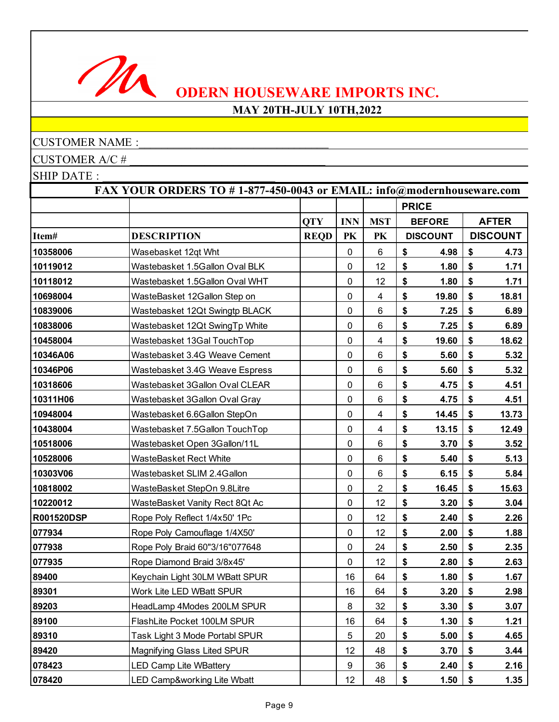

## **MAY 20TH-JULY 10TH,2022**

## CUSTOMER NAME :

CUSTOMER A/C # \_\_\_\_\_\_\_\_\_\_\_\_\_\_\_\_\_\_\_\_\_\_\_\_\_\_\_\_\_\_\_\_\_\_

|                   | FAX YOUR ORDERS TO #1-877-450-0043 or EMAIL: info@modernhouseware.com |             |            |                         |                   |                 |    |                 |  |
|-------------------|-----------------------------------------------------------------------|-------------|------------|-------------------------|-------------------|-----------------|----|-----------------|--|
|                   |                                                                       |             |            |                         | <b>PRICE</b>      |                 |    |                 |  |
|                   |                                                                       | <b>QTY</b>  | <b>INN</b> | <b>MST</b>              |                   | <b>BEFORE</b>   |    | <b>AFTER</b>    |  |
| Item#             | <b>DESCRIPTION</b>                                                    | <b>REQD</b> | PK         | PK                      |                   | <b>DISCOUNT</b> |    | <b>DISCOUNT</b> |  |
| 10358006          | Wasebasket 12qt Wht                                                   |             | 0          | $6\phantom{1}$          | \$                | 4.98            | \$ | 4.73            |  |
| 10119012          | Wastebasket 1.5Gallon Oval BLK                                        |             | 0          | 12                      | \$                | 1.80            | \$ | 1.71            |  |
| 10118012          | Wastebasket 1.5Gallon Oval WHT                                        |             | $\pmb{0}$  | 12                      | \$                | 1.80            | \$ | 1.71            |  |
| 10698004          | WasteBasket 12Gallon Step on                                          |             | 0          | 4                       | \$                | 19.80           | \$ | 18.81           |  |
| 10839006          | Wastebasket 12Qt Swingtp BLACK                                        |             | $\pmb{0}$  | $\,6$                   | \$                | 7.25            | \$ | 6.89            |  |
| 10838006          | Wastebasket 12Qt SwingTp White                                        |             | 0          | $\,6$                   | \$                | 7.25            | \$ | 6.89            |  |
| 10458004          | Wastebasket 13Gal TouchTop                                            |             | 0          | 4                       | \$                | 19.60           | \$ | 18.62           |  |
| 10346A06          | Wastebasket 3.4G Weave Cement                                         |             | 0          | 6                       | \$                | 5.60            | \$ | 5.32            |  |
| 10346P06          | Wastebasket 3.4G Weave Espress                                        |             | 0          | $6\phantom{1}6$         | \$                | 5.60            | \$ | 5.32            |  |
| 10318606          | Wastebasket 3Gallon Oval CLEAR                                        |             | 0          | $6\phantom{1}6$         | \$                | 4.75            | \$ | 4.51            |  |
| 10311H06          | Wastebasket 3Gallon Oval Gray                                         |             | $\pmb{0}$  | 6                       | \$                | 4.75            | \$ | 4.51            |  |
| 10948004          | Wastebasket 6.6Gallon StepOn                                          |             | $\pmb{0}$  | 4                       | \$                | 14.45           | \$ | 13.73           |  |
| 10438004          | Wastebasket 7.5Gallon TouchTop                                        |             | 0          | $\overline{\mathbf{4}}$ | \$                | 13.15           | \$ | 12.49           |  |
| 10518006          | Wastebasket Open 3Gallon/11L                                          |             | 0          | 6                       | \$                | 3.70            | \$ | 3.52            |  |
| 10528006          | WasteBasket Rect White                                                |             | $\pmb{0}$  | 6                       | \$                | 5.40            | \$ | 5.13            |  |
| 10303V06          | Wastebasket SLIM 2.4Gallon                                            |             | 0          | $6\phantom{1}6$         | \$                | 6.15            | \$ | 5.84            |  |
| 10818002          | WasteBasket StepOn 9.8Litre                                           |             | 0          | 2                       | \$                | 16.45           | \$ | 15.63           |  |
| 10220012          | WasteBasket Vanity Rect 8Qt Ac                                        |             | 0          | 12                      | \$                | 3.20            | \$ | 3.04            |  |
| <b>R001520DSP</b> | Rope Poly Reflect 1/4x50' 1Pc                                         |             | 0          | 12                      | \$                | 2.40            | \$ | 2.26            |  |
| 077934            | Rope Poly Camouflage 1/4X50'                                          |             | 0          | 12                      | \$                | 2.00            | \$ | 1.88            |  |
| 077938            | Rope Poly Braid 60"3/16"077648                                        |             | $\pmb{0}$  | 24                      | \$                | 2.50            | \$ | 2.35            |  |
| 077935            | Rope Diamond Braid 3/8x45'                                            |             | $\pmb{0}$  | 12                      | \$                | 2.80            | \$ | 2.63            |  |
| 89400             | Keychain Light 30LM WBatt SPUR                                        |             | 16         | 64                      | \$                | 1.80            | \$ | 1.67            |  |
| 89301             | Work Lite LED WBatt SPUR                                              |             | 16         | 64                      | \$                | 3.20            | \$ | 2.98            |  |
| 89203             | HeadLamp 4Modes 200LM SPUR                                            |             | 8          | 32                      | \$                | 3.30            | \$ | 3.07            |  |
| 89100             | FlashLite Pocket 100LM SPUR                                           |             | 16         | 64                      | \$                | 1.30            | \$ | 1.21            |  |
| 89310             | Task Light 3 Mode Portabl SPUR                                        |             | 5          | 20                      | $\boldsymbol{\$}$ | 5.00            | \$ | 4.65            |  |
| 89420             | Magnifying Glass Lited SPUR                                           |             | 12         | 48                      | $\boldsymbol{\$}$ | 3.70            | \$ | 3.44            |  |
| 078423            | <b>LED Camp Lite WBattery</b>                                         |             | 9          | 36                      | \$                | 2.40            | \$ | 2.16            |  |
| 078420            | LED Camp&working Lite Wbatt                                           |             | 12         | 48                      | \$                | 1.50            | \$ | 1.35            |  |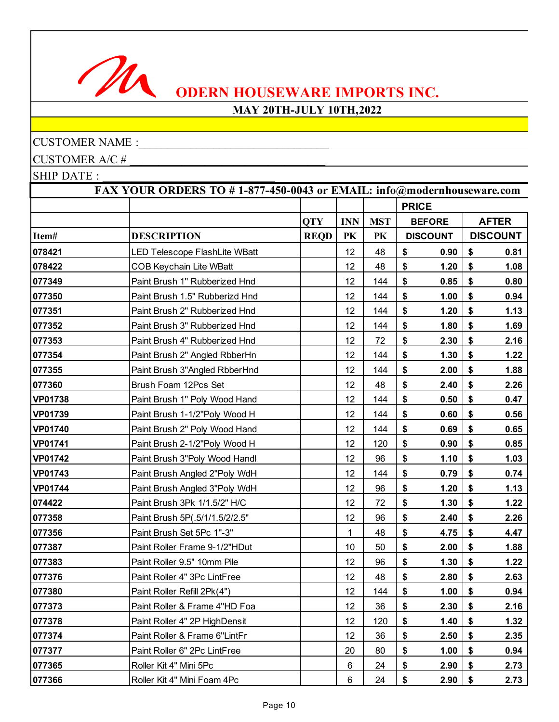

## **MAY 20TH-JULY 10TH,2022**

## CUSTOMER NAME :

CUSTOMER A/C # \_\_\_\_\_\_\_\_\_\_\_\_\_\_\_\_\_\_\_\_\_\_\_\_\_\_\_\_\_\_\_\_\_\_

|                | FAX YOUR ORDERS TO #1-877-450-0043 or EMAIL: info@modernhouseware.com |             |            |            |                 |      |                 |
|----------------|-----------------------------------------------------------------------|-------------|------------|------------|-----------------|------|-----------------|
|                |                                                                       |             |            |            | <b>PRICE</b>    |      |                 |
|                |                                                                       | <b>QTY</b>  | <b>INN</b> | <b>MST</b> | <b>BEFORE</b>   |      | <b>AFTER</b>    |
| Item#          | <b>DESCRIPTION</b>                                                    | <b>REQD</b> | PK         | PK         | <b>DISCOUNT</b> |      | <b>DISCOUNT</b> |
| 078421         | LED Telescope FlashLite WBatt                                         |             | 12         | 48         | \$              | 0.90 | \$<br>0.81      |
| 078422         | <b>COB Keychain Lite WBatt</b>                                        |             | 12         | 48         | \$              | 1.20 | \$<br>1.08      |
| 077349         | Paint Brush 1" Rubberized Hnd                                         |             | 12         | 144        | \$              | 0.85 | \$<br>0.80      |
| 077350         | Paint Brush 1.5" Rubberizd Hnd                                        |             | 12         | 144        | \$              | 1.00 | \$<br>0.94      |
| 077351         | Paint Brush 2" Rubberized Hnd                                         |             | 12         | 144        | \$              | 1.20 | \$<br>1.13      |
| 077352         | Paint Brush 3" Rubberized Hnd                                         |             | 12         | 144        | \$              | 1.80 | \$<br>1.69      |
| 077353         | Paint Brush 4" Rubberized Hnd                                         |             | 12         | 72         | \$              | 2.30 | \$<br>2.16      |
| 077354         | Paint Brush 2" Angled RbberHn                                         |             | 12         | 144        | \$              | 1.30 | \$<br>1.22      |
| 077355         | Paint Brush 3"Angled RbberHnd                                         |             | 12         | 144        | \$              | 2.00 | \$<br>1.88      |
| 077360         | Brush Foam 12Pcs Set                                                  |             | 12         | 48         | \$              | 2.40 | \$<br>2.26      |
| <b>VP01738</b> | Paint Brush 1" Poly Wood Hand                                         |             | 12         | 144        | \$              | 0.50 | \$<br>0.47      |
| <b>VP01739</b> | Paint Brush 1-1/2"Poly Wood H                                         |             | 12         | 144        | \$              | 0.60 | \$<br>0.56      |
| <b>VP01740</b> | Paint Brush 2" Poly Wood Hand                                         |             | 12         | 144        | \$              | 0.69 | \$<br>0.65      |
| <b>VP01741</b> | Paint Brush 2-1/2"Poly Wood H                                         |             | 12         | 120        | \$              | 0.90 | \$<br>0.85      |
| <b>VP01742</b> | Paint Brush 3"Poly Wood Handl                                         |             | 12         | 96         | \$              | 1.10 | \$<br>1.03      |
| <b>VP01743</b> | Paint Brush Angled 2"Poly WdH                                         |             | 12         | 144        | \$              | 0.79 | \$<br>0.74      |
| <b>VP01744</b> | Paint Brush Angled 3"Poly WdH                                         |             | 12         | 96         | \$              | 1.20 | \$<br>1.13      |
| 074422         | Paint Brush 3Pk 1/1.5/2" H/C                                          |             | 12         | 72         | \$              | 1.30 | \$<br>1.22      |
| 077358         | Paint Brush 5P(.5/1/1.5/2/2.5"                                        |             | 12         | 96         | \$              | 2.40 | \$<br>2.26      |
| 077356         | Paint Brush Set 5Pc 1"-3"                                             |             | 1          | 48         | \$              | 4.75 | \$<br>4.47      |
| 077387         | Paint Roller Frame 9-1/2"HDut                                         |             | 10         | 50         | \$              | 2.00 | \$<br>1.88      |
| 077383         | Paint Roller 9.5" 10mm Pile                                           |             | 12         | 96         | \$              | 1.30 | \$<br>1.22      |
| 077376         | Paint Roller 4" 3Pc LintFree                                          |             | 12         | 48         | \$              | 2.80 | \$<br>2.63      |
| 077380         | Paint Roller Refill 2Pk(4")                                           |             | 12         | 144        | \$              | 1.00 | \$<br>0.94      |
| 077373         | Paint Roller & Frame 4"HD Foa                                         |             | 12         | 36         | \$              | 2.30 | \$<br>2.16      |
| 077378         | Paint Roller 4" 2P HighDensit                                         |             | 12         | 120        | \$              | 1.40 | \$<br>1.32      |
| 077374         | Paint Roller & Frame 6"LintFr                                         |             | 12         | 36         | \$              | 2.50 | \$<br>2.35      |
| 077377         | Paint Roller 6" 2Pc LintFree                                          |             | 20         | 80         | \$              | 1.00 | \$<br>0.94      |
| 077365         | Roller Kit 4" Mini 5Pc                                                |             | 6          | 24         | \$              | 2.90 | \$<br>2.73      |
| 077366         | Roller Kit 4" Mini Foam 4Pc                                           |             | 6          | 24         | \$              | 2.90 | \$<br>2.73      |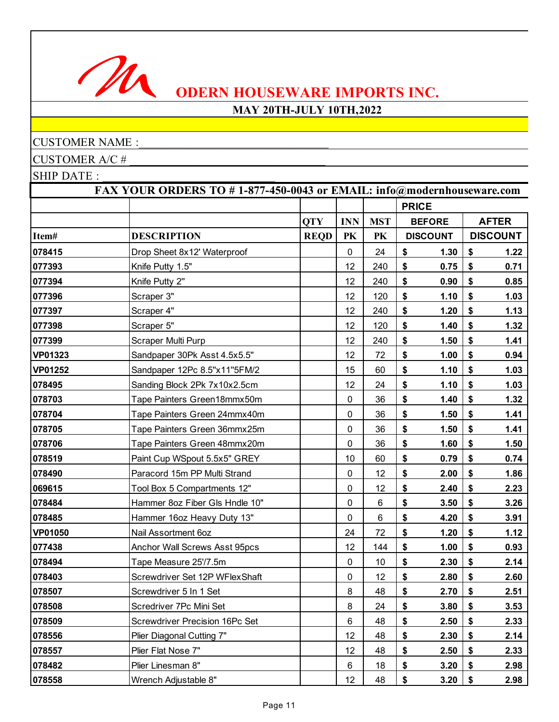

## **MAY 20TH-JULY 10TH,2022**

## CUSTOMER NAME :

CUSTOMER A/C # \_\_\_\_\_\_\_\_\_\_\_\_\_\_\_\_\_\_\_\_\_\_\_\_\_\_\_\_\_\_\_\_\_\_

|                | FAX YOUR ORDERS TO #1-877-450-0043 or EMAIL: info@modernhouseware.com |             |             |                 |                            |                 |                 |
|----------------|-----------------------------------------------------------------------|-------------|-------------|-----------------|----------------------------|-----------------|-----------------|
|                |                                                                       |             |             |                 | <b>PRICE</b>               |                 |                 |
|                |                                                                       | <b>QTY</b>  | <b>INN</b>  | <b>MST</b>      |                            | <b>BEFORE</b>   | <b>AFTER</b>    |
| Item#          | <b>DESCRIPTION</b>                                                    | <b>REQD</b> | PK          | PK              |                            | <b>DISCOUNT</b> | <b>DISCOUNT</b> |
| 078415         | Drop Sheet 8x12' Waterproof                                           |             | 0           | 24              | \$                         | 1.30            | \$<br>1.22      |
| 077393         | Knife Putty 1.5"                                                      |             | 12          | 240             | \$                         | 0.75            | \$<br>0.71      |
| 077394         | Knife Putty 2"                                                        |             | 12          | 240             | \$                         | 0.90            | \$<br>0.85      |
| 077396         | Scraper 3"                                                            |             | 12          | 120             | \$                         | 1.10            | \$<br>1.03      |
| 077397         | Scraper 4"                                                            |             | 12          | 240             | \$                         | 1.20            | \$<br>1.13      |
| 077398         | Scraper 5"                                                            |             | 12          | 120             | \$                         | 1.40            | \$<br>1.32      |
| 077399         | Scraper Multi Purp                                                    |             | 12          | 240             | \$                         | 1.50            | \$<br>1.41      |
| <b>VP01323</b> | Sandpaper 30Pk Asst 4.5x5.5"                                          |             | 12          | 72              | \$                         | 1.00            | \$<br>0.94      |
| <b>VP01252</b> | Sandpaper 12Pc 8.5"x11"5FM/2                                          |             | 15          | 60              | \$                         | 1.10            | \$<br>1.03      |
| 078495         | Sanding Block 2Pk 7x10x2.5cm                                          |             | 12          | 24              | \$                         | 1.10            | \$<br>1.03      |
| 078703         | Tape Painters Green18mmx50m                                           |             | 0           | 36              | \$                         | 1.40            | \$<br>1.32      |
| 078704         | Tape Painters Green 24mmx40m                                          |             | $\pmb{0}$   | 36              | \$                         | 1.50            | \$<br>1.41      |
| 078705         | Tape Painters Green 36mmx25m                                          |             | 0           | 36              | \$                         | 1.50            | \$<br>1.41      |
| 078706         | Tape Painters Green 48mmx20m                                          |             | 0           | 36              | \$                         | 1.60            | \$<br>1.50      |
| 078519         | Paint Cup WSpout 5.5x5" GREY                                          |             | 10          | 60              | \$                         | 0.79            | \$<br>0.74      |
| 078490         | Paracord 15m PP Multi Strand                                          |             | $\pmb{0}$   | 12              | \$                         | 2.00            | \$<br>1.86      |
| 069615         | Tool Box 5 Compartments 12"                                           |             | 0           | 12              | \$                         | 2.40            | \$<br>2.23      |
| 078484         | Hammer 8oz Fiber Gls Hndle 10"                                        |             | $\mathbf 0$ | $6\phantom{1}6$ | \$                         | 3.50            | \$<br>3.26      |
| 078485         | Hammer 16oz Heavy Duty 13"                                            |             | 0           | $\,6$           | \$                         | 4.20            | \$<br>3.91      |
| <b>VP01050</b> | Nail Assortment 6oz                                                   |             | 24          | 72              | \$                         | 1.20            | \$<br>1.12      |
| 077438         | Anchor Wall Screws Asst 95pcs                                         |             | 12          | 144             | \$                         | 1.00            | \$<br>0.93      |
| 078494         | Tape Measure 25'/7.5m                                                 |             | $\pmb{0}$   | 10              | \$                         | 2.30            | \$<br>2.14      |
| 078403         | Screwdriver Set 12P WFlexShaft                                        |             | 0           | 12              | \$                         | 2.80            | \$<br>2.60      |
| 078507         | Screwdriver 5 In 1 Set                                                |             | 8           | 48              | \$                         | 2.70            | \$<br>2.51      |
| 078508         | Scredriver 7Pc Mini Set                                               |             | 8           | 24              | \$                         | 3.80            | \$<br>3.53      |
| 078509         | Screwdriver Precision 16Pc Set                                        |             | 6           | 48              | \$                         | 2.50            | \$<br>2.33      |
| 078556         | Plier Diagonal Cutting 7"                                             |             | 12          | 48              | $\boldsymbol{\frac{\$}}{}$ | 2.30            | \$<br>2.14      |
| 078557         | Plier Flat Nose 7"                                                    |             | 12          | 48              | \$                         | 2.50            | \$<br>2.33      |
| 078482         | Plier Linesman 8"                                                     |             | 6           | 18              | \$                         | 3.20            | \$<br>2.98      |
| 078558         | Wrench Adjustable 8"                                                  |             | 12          | 48              | \$                         | 3.20            | \$<br>2.98      |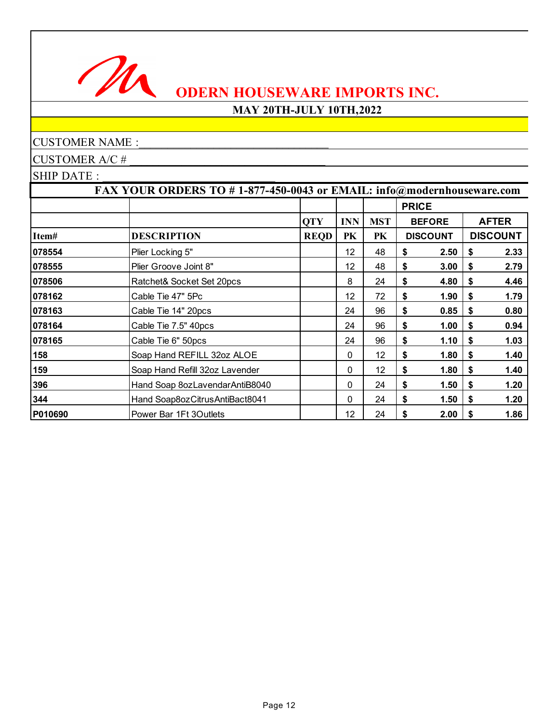

## **MAY 20TH-JULY 10TH,2022**

CUSTOMER NAME :

CUSTOMER A/C # \_\_\_\_\_\_\_\_\_\_\_\_\_\_\_\_\_\_\_\_\_\_\_\_\_\_\_\_\_\_\_\_\_\_

|         | FAX YOUR ORDERS TO #1-877-450-0043 or EMAIL: info@modernhouseware.com |             |                                      |    |              |                 |    |                 |
|---------|-----------------------------------------------------------------------|-------------|--------------------------------------|----|--------------|-----------------|----|-----------------|
|         |                                                                       |             |                                      |    | <b>PRICE</b> |                 |    |                 |
|         |                                                                       | <b>QTY</b>  | <b>INN</b><br><b>MST</b><br>PK<br>PK |    |              | <b>BEFORE</b>   |    | <b>AFTER</b>    |
| Item#   | <b>DESCRIPTION</b>                                                    | <b>REQD</b> |                                      |    |              | <b>DISCOUNT</b> |    | <b>DISCOUNT</b> |
| 078554  | Plier Locking 5"                                                      |             | 12                                   | 48 | S            | 2.50            | \$ | 2.33            |
| 078555  | Plier Groove Joint 8"                                                 |             | 12 <sub>2</sub>                      | 48 | \$           | 3.00            | \$ | 2.79            |
| 078506  | Ratchet& Socket Set 20pcs                                             |             | 8                                    | 24 | \$           | 4.80            | \$ | 4.46            |
| 078162  | Cable Tie 47" 5Pc                                                     |             | 12                                   | 72 | \$           | 1.90            | \$ | 1.79            |
| 078163  | Cable Tie 14" 20pcs                                                   |             | 24                                   | 96 | \$           | 0.85            | \$ | 0.80            |
| 078164  | Cable Tie 7.5" 40pcs                                                  |             | 24                                   | 96 | \$           | 1.00            | \$ | 0.94            |
| 078165  | Cable Tie 6" 50pcs                                                    |             | 24                                   | 96 | \$           | 1.10            | \$ | 1.03            |
| 158     | Soap Hand REFILL 32oz ALOE                                            |             | 0                                    | 12 | \$           | 1.80            | \$ | 1.40            |
| 159     | Soap Hand Refill 32oz Lavender                                        |             | 0                                    | 12 | \$           | 1.80            | \$ | 1.40            |
| 396     | Hand Soap 8ozLavendarAntiB8040                                        |             | 0                                    | 24 | \$           | 1.50            | \$ | 1.20            |
| 344     | Hand Soap8ozCitrusAntiBact8041                                        |             | 0                                    | 24 | \$           | 1.50            | \$ | 1.20            |
| P010690 | Power Bar 1Ft 3Outlets                                                |             | 12 <sub>2</sub>                      | 24 | \$           | 2.00            | S  | 1.86            |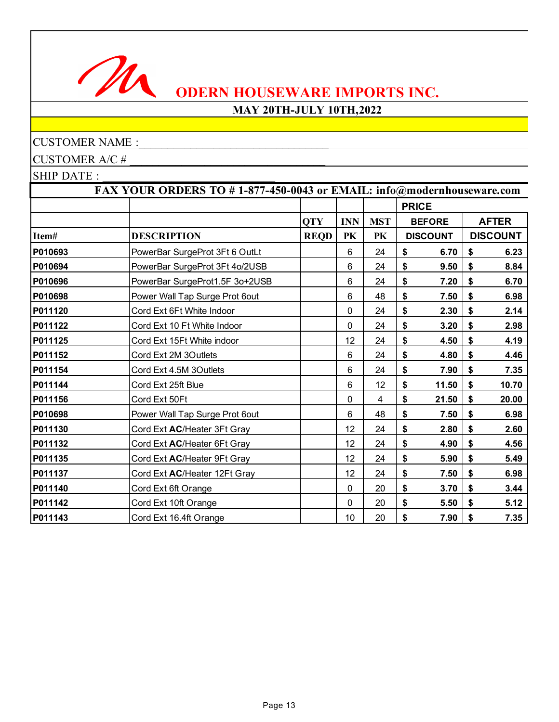

## **MAY 20TH-JULY 10TH,2022**

## CUSTOMER NAME :

CUSTOMER A/C # \_\_\_\_\_\_\_\_\_\_\_\_\_\_\_\_\_\_\_\_\_\_\_\_\_\_\_\_\_\_\_\_\_\_

| FAX YOUR ORDERS TO #1-877-450-0043 or EMAIL: info@modernhouseware.com |                                |             |            |            |                 |                 |
|-----------------------------------------------------------------------|--------------------------------|-------------|------------|------------|-----------------|-----------------|
|                                                                       |                                |             |            |            | <b>PRICE</b>    |                 |
|                                                                       |                                | <b>QTY</b>  | <b>INN</b> | <b>MST</b> | <b>BEFORE</b>   | <b>AFTER</b>    |
| Item#                                                                 | <b>DESCRIPTION</b>             | <b>REQD</b> | PK         | PK         | <b>DISCOUNT</b> | <b>DISCOUNT</b> |
| P010693                                                               | PowerBar SurgeProt 3Ft 6 OutLt |             | 6          | 24         | \$<br>6.70      | \$<br>6.23      |
| P010694                                                               | PowerBar SurgeProt 3Ft 4o/2USB |             | 6          | 24         | \$<br>9.50      | \$<br>8.84      |
| P010696                                                               | PowerBar SurgeProt1.5F 3o+2USB |             | 6          | 24         | \$<br>7.20      | \$<br>6.70      |
| P010698                                                               | Power Wall Tap Surge Prot 6out |             | $\,6$      | 48         | \$<br>7.50      | \$<br>6.98      |
| P011120                                                               | Cord Ext 6Ft White Indoor      |             | 0          | 24         | \$<br>2.30      | \$<br>2.14      |
| P011122                                                               | Cord Ext 10 Ft White Indoor    |             | 0          | 24         | \$<br>3.20      | \$<br>2.98      |
| P011125                                                               | Cord Ext 15Ft White indoor     |             | 12         | 24         | \$<br>4.50      | \$<br>4.19      |
| P011152                                                               | Cord Ext 2M 3Outlets           |             | 6          | 24         | \$<br>4.80      | \$<br>4.46      |
| P011154                                                               | Cord Ext 4.5M 3Outlets         |             | 6          | 24         | \$<br>7.90      | \$<br>7.35      |
| P011144                                                               | Cord Ext 25ft Blue             |             | 6          | 12         | \$<br>11.50     | \$<br>10.70     |
| P011156                                                               | Cord Ext 50Ft                  |             | 0          | 4          | \$<br>21.50     | \$<br>20.00     |
| P010698                                                               | Power Wall Tap Surge Prot 6out |             | 6          | 48         | \$<br>7.50      | \$<br>6.98      |
| P011130                                                               | Cord Ext AC/Heater 3Ft Gray    |             | 12         | 24         | \$<br>2.80      | \$<br>2.60      |
| P011132                                                               | Cord Ext AC/Heater 6Ft Gray    |             | 12         | 24         | \$<br>4.90      | \$<br>4.56      |
| P011135                                                               | Cord Ext AC/Heater 9Ft Gray    |             | 12         | 24         | \$<br>5.90      | \$<br>5.49      |
| P011137                                                               | Cord Ext AC/Heater 12Ft Gray   |             | 12         | 24         | \$<br>7.50      | \$<br>6.98      |
| P011140                                                               | Cord Ext 6ft Orange            |             | 0          | 20         | \$<br>3.70      | \$<br>3.44      |
| P011142                                                               | Cord Ext 10ft Orange           |             | 0          | 20         | \$<br>5.50      | \$<br>5.12      |
| P011143                                                               | Cord Ext 16.4ft Orange         |             | 10         | 20         | \$<br>7.90      | \$<br>7.35      |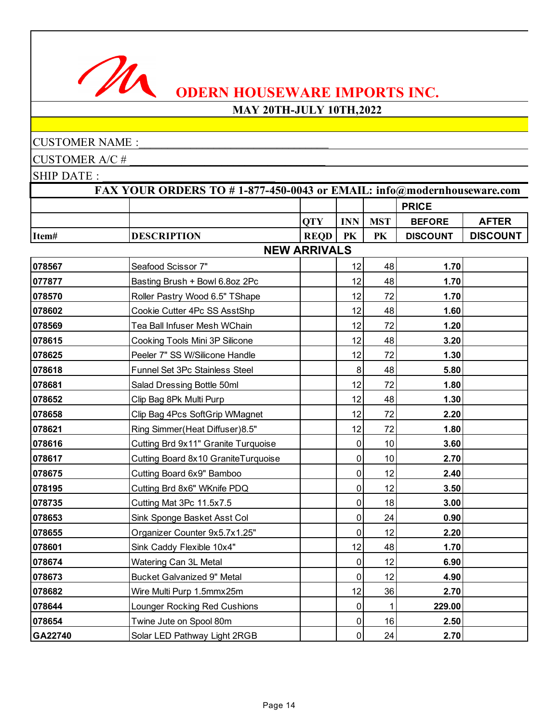

## **MAY 20TH-JULY 10TH,2022**

#### CUSTOMER NAME :

M

CUSTOMER A/C # \_\_\_\_\_\_\_\_\_\_\_\_\_\_\_\_\_\_\_\_\_\_\_\_\_\_\_\_\_\_\_\_\_\_

|         | FAX YOUR ORDERS TO #1-877-450-0043 or EMAIL: info@modernhouseware.com |                     |                |            |                 |                 |
|---------|-----------------------------------------------------------------------|---------------------|----------------|------------|-----------------|-----------------|
|         |                                                                       |                     |                |            | <b>PRICE</b>    |                 |
|         |                                                                       | <b>OTY</b>          | <b>INN</b>     | <b>MST</b> | <b>BEFORE</b>   | <b>AFTER</b>    |
| Item#   | <b>DESCRIPTION</b>                                                    | <b>REQD</b>         | <b>PK</b>      | PK         | <b>DISCOUNT</b> | <b>DISCOUNT</b> |
|         |                                                                       | <b>NEW ARRIVALS</b> |                |            |                 |                 |
| 078567  | Seafood Scissor 7"                                                    |                     | 12             | 48         | 1.70            |                 |
| 077877  | Basting Brush + Bowl 6.8oz 2Pc                                        |                     | 12             | 48         | 1.70            |                 |
| 078570  | Roller Pastry Wood 6.5" TShape                                        |                     | 12             | 72         | 1.70            |                 |
| 078602  | Cookie Cutter 4Pc SS AsstShp                                          |                     | 12             | 48         | 1.60            |                 |
| 078569  | Tea Ball Infuser Mesh WChain                                          |                     | 12             | 72         | 1.20            |                 |
| 078615  | Cooking Tools Mini 3P Silicone                                        |                     | 12             | 48         | 3.20            |                 |
| 078625  | Peeler 7" SS W/Silicone Handle                                        |                     | 12             | 72         | 1.30            |                 |
| 078618  | Funnel Set 3Pc Stainless Steel                                        |                     | 8              | 48         | 5.80            |                 |
| 078681  | Salad Dressing Bottle 50ml                                            |                     | 12             | 72         | 1.80            |                 |
| 078652  | Clip Bag 8Pk Multi Purp                                               |                     | 12             | 48         | 1.30            |                 |
| 078658  | Clip Bag 4Pcs SoftGrip WMagnet                                        |                     | 12             | 72         | 2.20            |                 |
| 078621  | Ring Simmer(Heat Diffuser) 8.5"                                       |                     | 12             | 72         | 1.80            |                 |
| 078616  | Cutting Brd 9x11" Granite Turquoise                                   |                     | 0              | 10         | 3.60            |                 |
| 078617  | Cutting Board 8x10 GraniteTurquoise                                   |                     | $\pmb{0}$      | 10         | 2.70            |                 |
| 078675  | Cutting Board 6x9" Bamboo                                             |                     | $\overline{0}$ | 12         | 2.40            |                 |
| 078195  | Cutting Brd 8x6" WKnife PDQ                                           |                     | 0              | 12         | 3.50            |                 |
| 078735  | Cutting Mat 3Pc 11.5x7.5                                              |                     | $\mathbf 0$    | 18         | 3.00            |                 |
| 078653  | Sink Sponge Basket Asst Col                                           |                     | 0              | 24         | 0.90            |                 |
| 078655  | Organizer Counter 9x5.7x1.25"                                         |                     | $\mathbf 0$    | 12         | 2.20            |                 |
| 078601  | Sink Caddy Flexible 10x4"                                             |                     | 12             | 48         | 1.70            |                 |
| 078674  | Watering Can 3L Metal                                                 |                     | $\mathbf 0$    | 12         | 6.90            |                 |
| 078673  | <b>Bucket Galvanized 9" Metal</b>                                     |                     | $\mathbf 0$    | 12         | 4.90            |                 |
| 078682  | Wire Multi Purp 1.5mmx25m                                             |                     | 12             | 36         | 2.70            |                 |
| 078644  | Lounger Rocking Red Cushions                                          |                     | $\mathbf 0$    | 1          | 229.00          |                 |
| 078654  | Twine Jute on Spool 80m                                               |                     | $\pmb{0}$      | 16         | 2.50            |                 |
| GA22740 | Solar LED Pathway Light 2RGB                                          |                     | $\mathbf 0$    | 24         | 2.70            |                 |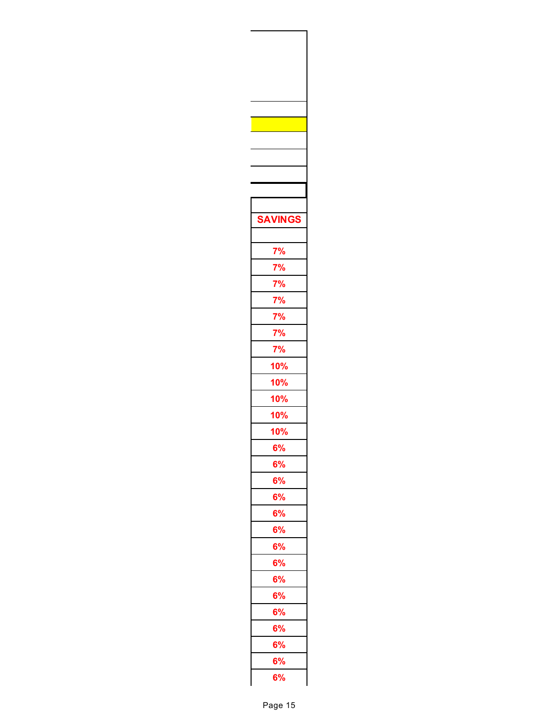| <b>SAVINGS</b>                                                                   |  |
|----------------------------------------------------------------------------------|--|
|                                                                                  |  |
|                                                                                  |  |
| 7%                                                                               |  |
| $\frac{7\%}{7\%}$<br>$\frac{7\%}{7\%}$<br>$\frac{7\%}{7\%}$<br>$\frac{7\%}{7\%}$ |  |
|                                                                                  |  |
|                                                                                  |  |
|                                                                                  |  |
|                                                                                  |  |
|                                                                                  |  |
| <u>10%</u>                                                                       |  |
| $\frac{10\%}{10}$                                                                |  |
| $\frac{10\%}{10\%}$                                                              |  |
|                                                                                  |  |
| 10%                                                                              |  |
| 6%                                                                               |  |
| 6%                                                                               |  |
| 6%                                                                               |  |
| 6%                                                                               |  |
| 6%                                                                               |  |
| 6%                                                                               |  |
| 6%                                                                               |  |
| 6%                                                                               |  |
| 6%                                                                               |  |
| 6%                                                                               |  |
| 6%                                                                               |  |
| 6%                                                                               |  |
| 6%                                                                               |  |
| 6%                                                                               |  |
| 6%                                                                               |  |
|                                                                                  |  |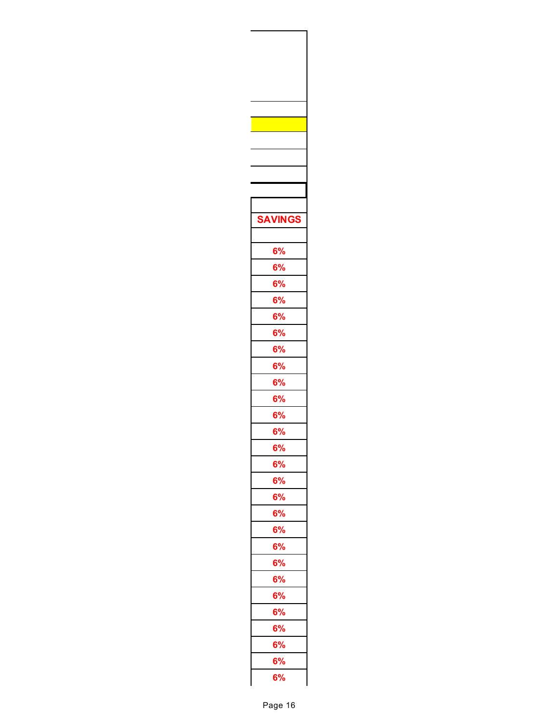| <b>SAVINGS</b> |  |
|----------------|--|
|                |  |
|                |  |
| 6%             |  |
| 6%             |  |
| 6%             |  |
| 6%             |  |
| 6%             |  |
| 6%             |  |
| 6%             |  |
| 6%             |  |
| 6%             |  |
| 6%             |  |
| $\frac{6}{6}$  |  |
|                |  |
| 6%             |  |
| 6%             |  |
| <b>6%</b>      |  |
| 6%             |  |
| 6%             |  |
| 6%             |  |
| 6%             |  |
| 6%             |  |
| 6%             |  |
| 6%             |  |
| 6%             |  |
| 6%             |  |
| 6%             |  |
| 6%             |  |
| 6%             |  |
|                |  |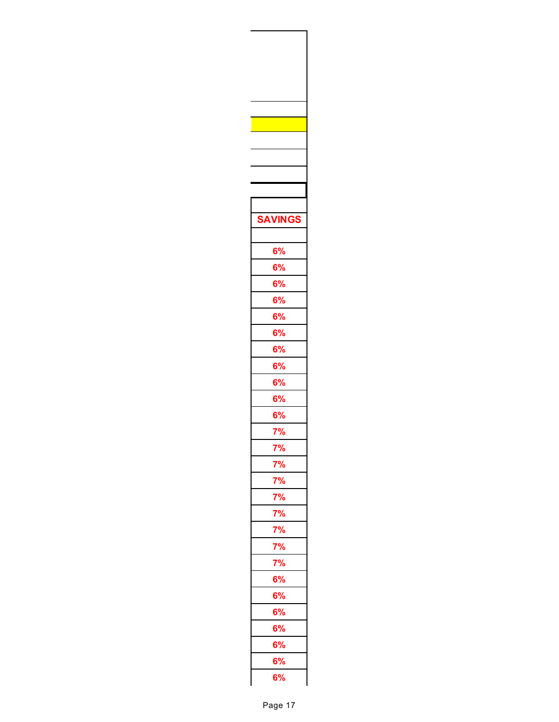| <b>SAVINGS</b>       |  |
|----------------------|--|
|                      |  |
|                      |  |
| 6%                   |  |
| 6%                   |  |
| 6%                   |  |
| 6%                   |  |
| 6%                   |  |
| 6%                   |  |
| 6%                   |  |
| 6%                   |  |
| 6%                   |  |
| 6%                   |  |
|                      |  |
| $\frac{6\%}{7\%}$    |  |
| 7%                   |  |
|                      |  |
| $\frac{7\%}{7\%}$    |  |
|                      |  |
| 7%<br>7%<br>7%<br>7% |  |
|                      |  |
|                      |  |
| 7%                   |  |
| 6%                   |  |
|                      |  |
| 6%                   |  |
| 6%                   |  |
| 6%                   |  |
| 6%                   |  |
| 6%<br>6%             |  |
|                      |  |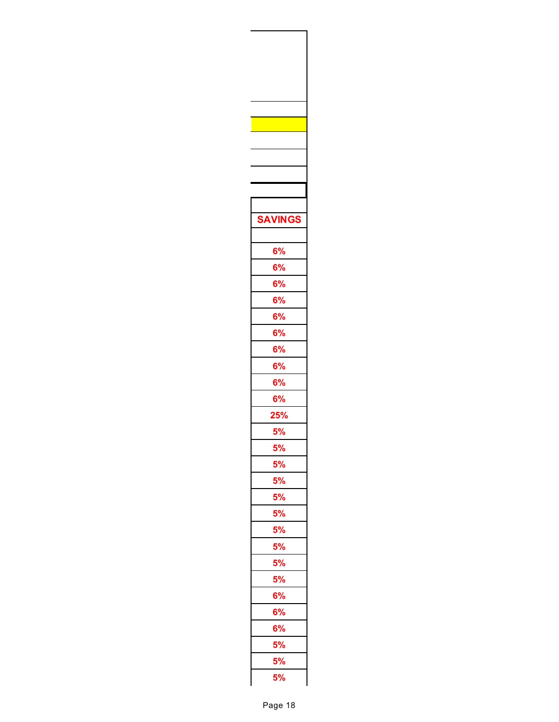| <b>SAVINGS</b>        |  |
|-----------------------|--|
|                       |  |
| 6%                    |  |
| 6%                    |  |
| 6%                    |  |
| 6%                    |  |
| 6%                    |  |
| 6%                    |  |
| 6%                    |  |
| 6%                    |  |
| 6%                    |  |
| 6%                    |  |
| $\frac{25\%}{5\%}$    |  |
|                       |  |
| 5%                    |  |
| <b>5%</b>             |  |
|                       |  |
| 5%<br>5%              |  |
| 5%<br>5%              |  |
|                       |  |
|                       |  |
| $\frac{5\%}{5\%}$     |  |
| <b>5%</b>             |  |
| 6%                    |  |
| 6%                    |  |
| 6%                    |  |
| <b>5%</b>             |  |
| $\frac{1}{5\%}$<br>5% |  |
|                       |  |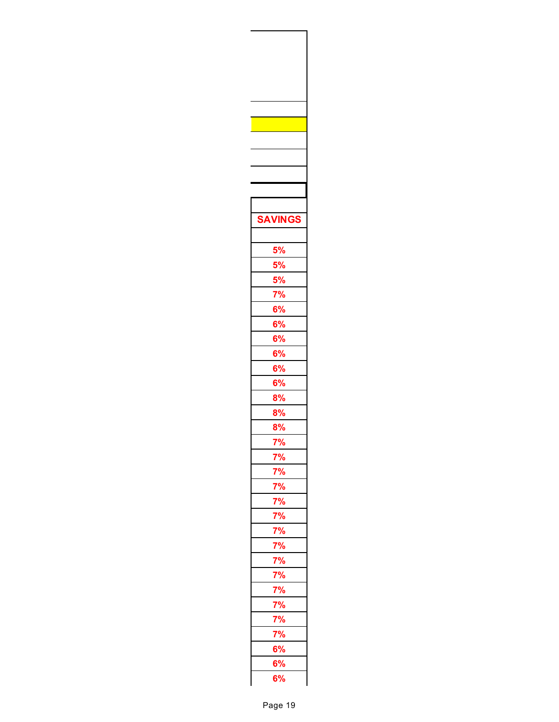| <b>SAVINGS</b>                                                                                              |  |
|-------------------------------------------------------------------------------------------------------------|--|
|                                                                                                             |  |
|                                                                                                             |  |
|                                                                                                             |  |
|                                                                                                             |  |
| $\frac{5\%}{5\%}$ $\frac{5\%}{1\%}$ $\frac{7\%}{6\%}$ $\frac{6\%}{6\%}$ $\frac{6\%}{1\%}$ $\frac{6\%}{1\%}$ |  |
|                                                                                                             |  |
|                                                                                                             |  |
|                                                                                                             |  |
|                                                                                                             |  |
|                                                                                                             |  |
| 6%<br>6%                                                                                                    |  |
| 8%                                                                                                          |  |
| 8%                                                                                                          |  |
| 8%                                                                                                          |  |
| 7%                                                                                                          |  |
|                                                                                                             |  |
|                                                                                                             |  |
|                                                                                                             |  |
|                                                                                                             |  |
|                                                                                                             |  |
|                                                                                                             |  |
|                                                                                                             |  |
|                                                                                                             |  |
|                                                                                                             |  |
|                                                                                                             |  |
|                                                                                                             |  |
|                                                                                                             |  |
|                                                                                                             |  |
|                                                                                                             |  |
|                                                                                                             |  |
|                                                                                                             |  |
|                                                                                                             |  |
|                                                                                                             |  |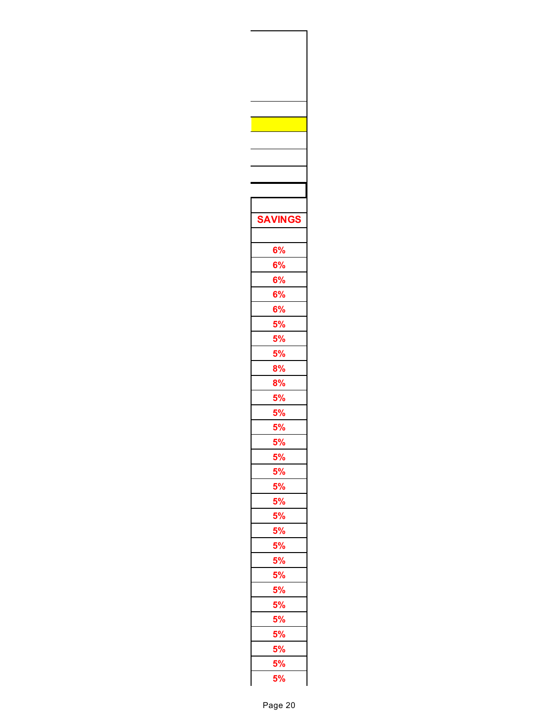| <b>SAVINGS</b> |  |
|----------------|--|
|                |  |
|                |  |
| 6%             |  |
| 6%             |  |
| 6%             |  |
| 6%             |  |
| $rac{1}{6%}$   |  |
|                |  |
| 5%<br>5%       |  |
| 5%             |  |
|                |  |
| 8%             |  |
| 8%             |  |
| 5%<br>5%       |  |
|                |  |
| 5%             |  |
| 5%             |  |
| 5%             |  |
|                |  |
| 5%<br>5%<br>5% |  |
|                |  |
|                |  |
|                |  |
|                |  |
|                |  |
|                |  |
|                |  |
|                |  |
|                |  |
|                |  |
|                |  |
|                |  |
|                |  |
|                |  |
|                |  |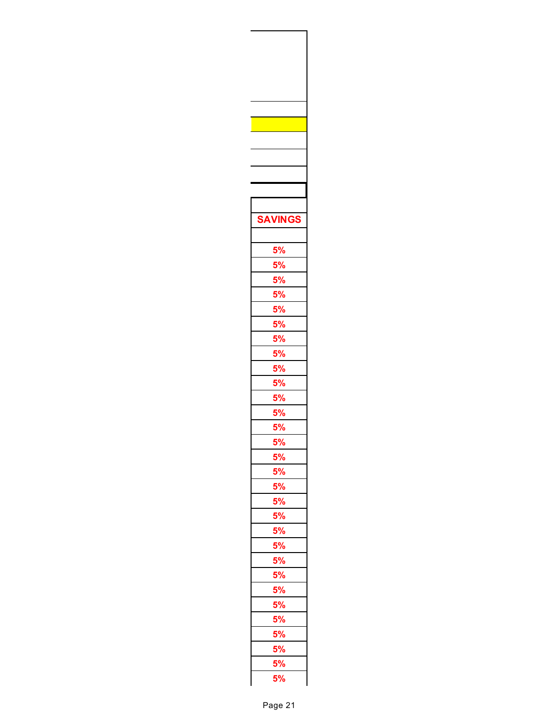| <b>SAVINGS</b> |  |
|----------------|--|
|                |  |
|                |  |
|                |  |
|                |  |
|                |  |
|                |  |
|                |  |
|                |  |
|                |  |
|                |  |
|                |  |
|                |  |
|                |  |
|                |  |
|                |  |
|                |  |
| 5%             |  |
| 5%             |  |
|                |  |
|                |  |
|                |  |
|                |  |
|                |  |
|                |  |
|                |  |
|                |  |
|                |  |
|                |  |
|                |  |
|                |  |
|                |  |
|                |  |
|                |  |
|                |  |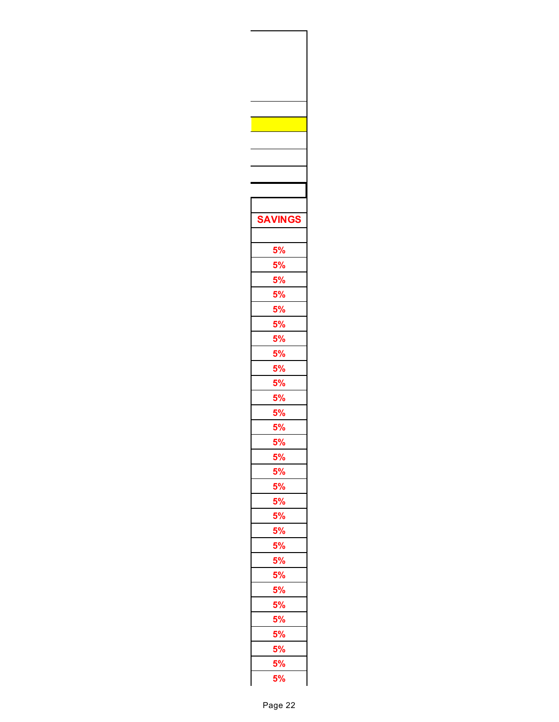| <b>SAVINGS</b> |  |
|----------------|--|
|                |  |
|                |  |
|                |  |
|                |  |
|                |  |
|                |  |
|                |  |
|                |  |
|                |  |
|                |  |
|                |  |
|                |  |
|                |  |
|                |  |
|                |  |
|                |  |
| 5%             |  |
| 5%             |  |
|                |  |
|                |  |
|                |  |
|                |  |
|                |  |
|                |  |
|                |  |
|                |  |
|                |  |
|                |  |
|                |  |
|                |  |
|                |  |
|                |  |
|                |  |
|                |  |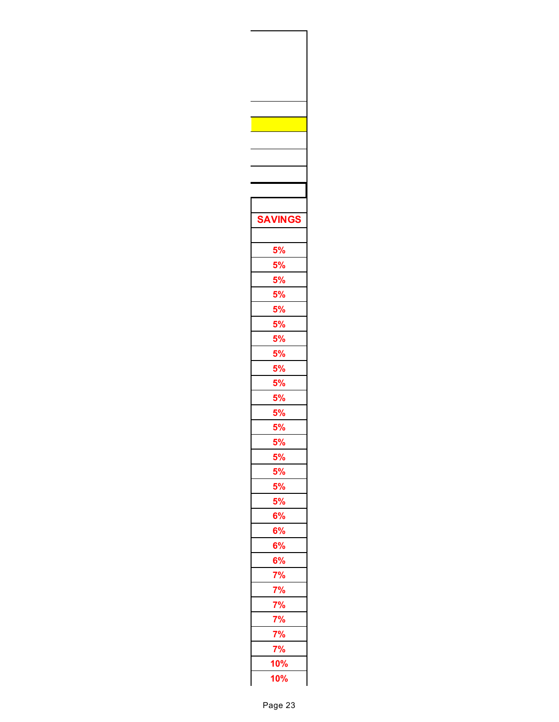| <b>SAVINGS</b>                                                                                                                                                                                                                                                                                                                         |  |
|----------------------------------------------------------------------------------------------------------------------------------------------------------------------------------------------------------------------------------------------------------------------------------------------------------------------------------------|--|
|                                                                                                                                                                                                                                                                                                                                        |  |
|                                                                                                                                                                                                                                                                                                                                        |  |
|                                                                                                                                                                                                                                                                                                                                        |  |
|                                                                                                                                                                                                                                                                                                                                        |  |
|                                                                                                                                                                                                                                                                                                                                        |  |
|                                                                                                                                                                                                                                                                                                                                        |  |
|                                                                                                                                                                                                                                                                                                                                        |  |
|                                                                                                                                                                                                                                                                                                                                        |  |
|                                                                                                                                                                                                                                                                                                                                        |  |
|                                                                                                                                                                                                                                                                                                                                        |  |
|                                                                                                                                                                                                                                                                                                                                        |  |
|                                                                                                                                                                                                                                                                                                                                        |  |
|                                                                                                                                                                                                                                                                                                                                        |  |
|                                                                                                                                                                                                                                                                                                                                        |  |
| 5%                                                                                                                                                                                                                                                                                                                                     |  |
| 5%                                                                                                                                                                                                                                                                                                                                     |  |
| 5%                                                                                                                                                                                                                                                                                                                                     |  |
|                                                                                                                                                                                                                                                                                                                                        |  |
| 5%<br>5%<br>5%                                                                                                                                                                                                                                                                                                                         |  |
|                                                                                                                                                                                                                                                                                                                                        |  |
|                                                                                                                                                                                                                                                                                                                                        |  |
|                                                                                                                                                                                                                                                                                                                                        |  |
|                                                                                                                                                                                                                                                                                                                                        |  |
|                                                                                                                                                                                                                                                                                                                                        |  |
|                                                                                                                                                                                                                                                                                                                                        |  |
|                                                                                                                                                                                                                                                                                                                                        |  |
|                                                                                                                                                                                                                                                                                                                                        |  |
|                                                                                                                                                                                                                                                                                                                                        |  |
| $\frac{6\%}{6\%}\frac{6\%}{6\%}\frac{6\%}{7\%}\frac{7\%}{7\%}\frac{7\%}{7\%}\frac{7\%}{7\%}\frac{7\%}{7\%}\frac{7\%}{10\%}\frac{7\%}{10\%}\frac{7\%}{10\%}\frac{7\%}{10\%}\frac{7\%}{10\%}\frac{7\%}{10\%}\frac{7\%}{10\%}\frac{7\%}{10\%}\frac{7\%}{10\%}\frac{7\%}{10\%}\frac{7\%}{10\%}\frac{7\%}{10\%}\frac{7\%}{10\%}\frac{7\%}{$ |  |
|                                                                                                                                                                                                                                                                                                                                        |  |
|                                                                                                                                                                                                                                                                                                                                        |  |
|                                                                                                                                                                                                                                                                                                                                        |  |
|                                                                                                                                                                                                                                                                                                                                        |  |
|                                                                                                                                                                                                                                                                                                                                        |  |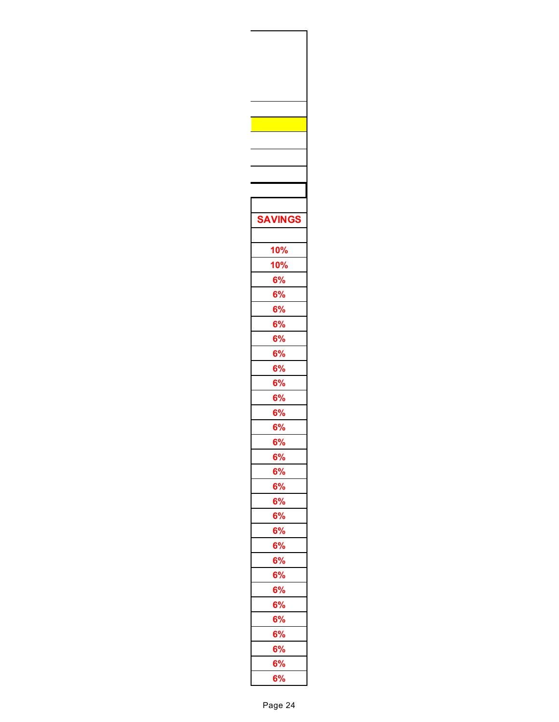| <b>SAVINGS</b>                                              |  |
|-------------------------------------------------------------|--|
|                                                             |  |
|                                                             |  |
| <u>10%</u>                                                  |  |
| <b>10%</b>                                                  |  |
| $\frac{6\%}{6\%}$<br>$\frac{6\%}{6\%}$<br>$\frac{6\%}{6\%}$ |  |
|                                                             |  |
|                                                             |  |
|                                                             |  |
|                                                             |  |
|                                                             |  |
|                                                             |  |
| 6%<br>6%                                                    |  |
| $\frac{6\%}{6\%}$                                           |  |
|                                                             |  |
| 6%                                                          |  |
| 6%                                                          |  |
| 6%                                                          |  |
|                                                             |  |
| 6%<br>6%                                                    |  |
| 6%                                                          |  |
|                                                             |  |
| 6%<br>6%                                                    |  |
|                                                             |  |
| 6%                                                          |  |
| 6%                                                          |  |
| 6%                                                          |  |
| 6%                                                          |  |
| 6%                                                          |  |
| 6%                                                          |  |
|                                                             |  |
| $\frac{6\%}{6\%}$                                           |  |
| 6%<br>6%                                                    |  |
|                                                             |  |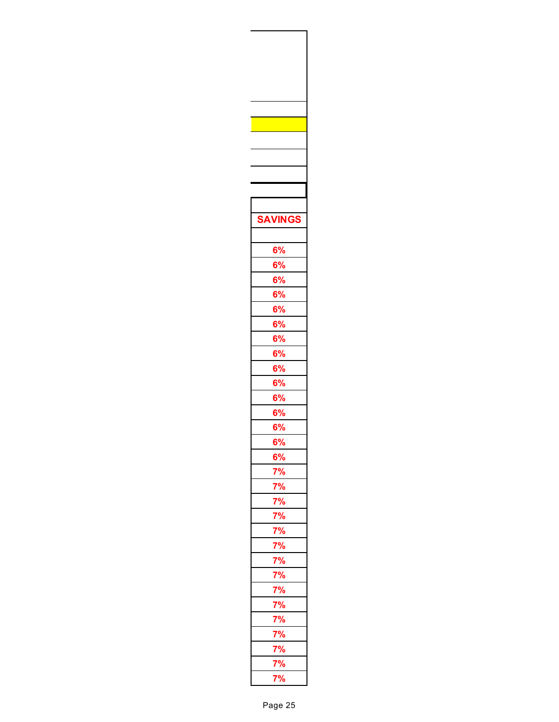| <b>SAVINGS</b> |  |
|----------------|--|
|                |  |
|                |  |
| 6%             |  |
| 6%             |  |
| 6%             |  |
| 6%<br>6%       |  |
|                |  |
|                |  |
| 6%<br>6%       |  |
| 6%             |  |
|                |  |
| 6%<br>6%       |  |
| 6%             |  |
| 6%             |  |
| 6%             |  |
| 6%             |  |
| 6%             |  |
|                |  |
|                |  |
|                |  |
|                |  |
|                |  |
|                |  |
|                |  |
|                |  |
|                |  |
|                |  |
|                |  |
|                |  |
|                |  |
|                |  |
|                |  |
|                |  |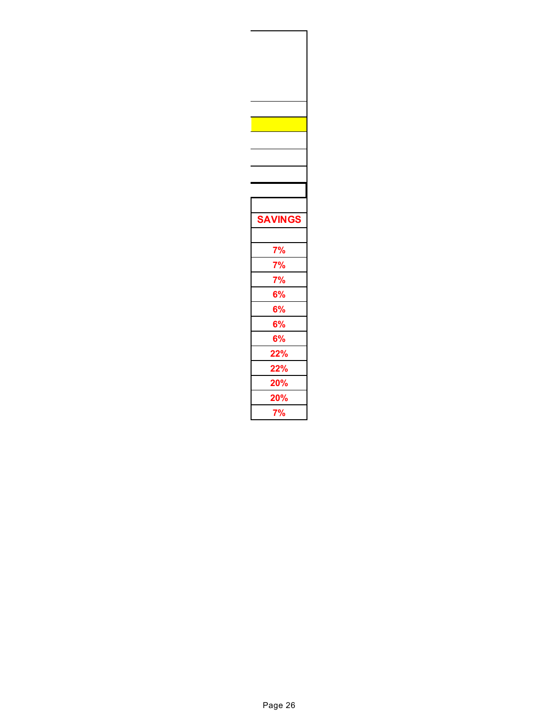| <b>SAVINGS</b>          |  |
|-------------------------|--|
|                         |  |
|                         |  |
|                         |  |
|                         |  |
|                         |  |
| $\frac{7\%}{7\%}$<br>6% |  |
| 6%                      |  |
| 6%                      |  |
| 6%                      |  |
| <u>22%</u>              |  |
| <b>22%</b>              |  |
| <u>20%</u>              |  |
| 20%<br>7%               |  |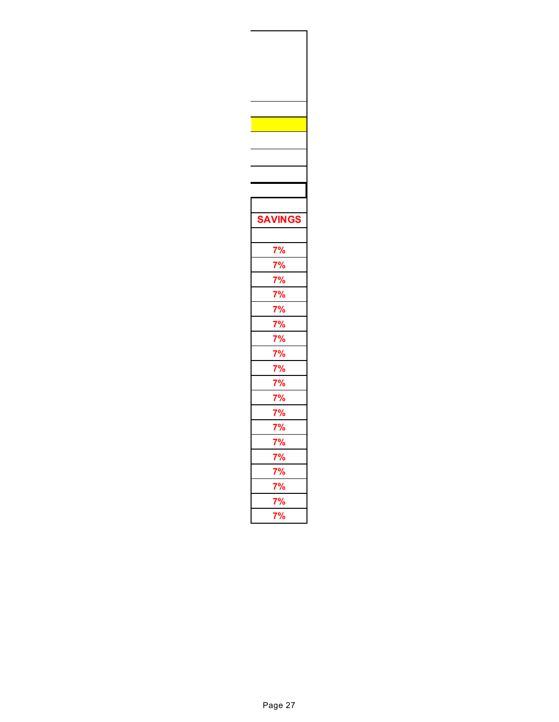| <b>INGS</b>               |
|---------------------------|
|                           |
|                           |
|                           |
| 7%<br>7%<br>7%            |
|                           |
| 7%<br>7%<br>7%            |
|                           |
|                           |
| 7%<br>7%                  |
|                           |
|                           |
| 7%<br>7%<br>$\frac{1}{2}$ |
| 7                         |
| 7%                        |
| %                         |
|                           |
| $\frac{7\%}{4}$           |
|                           |
|                           |
| 7%<br>7%                  |
|                           |